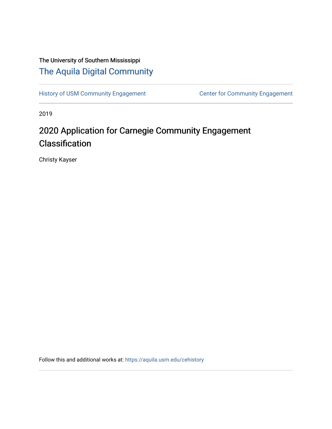## The University of Southern Mississippi [The Aquila Digital Community](https://aquila.usm.edu/)

[History of USM Community Engagement](https://aquila.usm.edu/cehistory) Center for Community Engagement

2019

# 2020 Application for Carnegie Community Engagement Classification

Christy Kayser

Follow this and additional works at: [https://aquila.usm.edu/cehistory](https://aquila.usm.edu/cehistory?utm_source=aquila.usm.edu%2Fcehistory%2F4&utm_medium=PDF&utm_campaign=PDFCoverPages)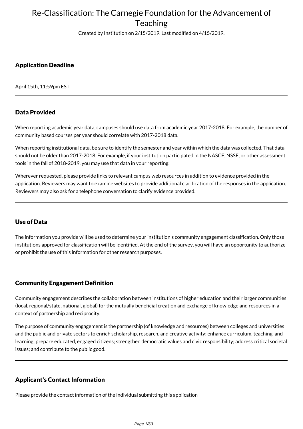Created by Institution on 2/15/2019. Last modified on 4/15/2019.

### Application Deadline

April 15th, 11:59pm EST

### Data Provided

When reporting academic year data, campuses should use data from academic year 2017-2018. For example, the number of community based courses per year should correlate with 2017-2018 data.

When reporting institutional data, be sure to identify the semester and year within which the data was collected. That data should not be older than 2017-2018. For example, if your institution participated in the NASCE, NSSE, or other assessment tools in the fall of 2018-2019, you may use that data in your reporting.

Wherever requested, please provide links to relevant campus web resources in addition to evidence provided in the application. Reviewers may want to examine websites to provide additional clarification of the responses in the application. Reviewers may also ask for a telephone conversation to clarify evidence provided.

### Use of Data

The information you provide will be used to determine your institution's community engagement classification. Only those institutions approved for classification will be identified. At the end of the survey, you will have an opportunity to authorize or prohibit the use of this information for other research purposes.

#### Community Engagement Definition

Community engagement describes the collaboration between institutions of higher education and their larger communities (local, regional/state, national, global) for the mutually beneficial creation and exchange of knowledge and resources in a context of partnership and reciprocity.

The purpose of community engagement is the partnership (of knowledge and resources) between colleges and universities and the public and private sectors to enrich scholarship, research, and creative activity; enhance curriculum, teaching, and learning; prepare educated, engaged citizens; strengthen democratic values and civic responsibility; address critical societal issues; and contribute to the public good.

### Applicant's Contact Information

Please provide the contact information of the individual submitting this application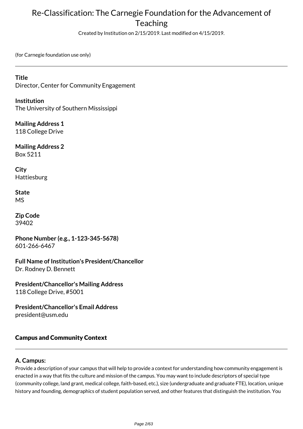Created by Institution on 2/15/2019. Last modified on 4/15/2019.

(for Carnegie foundation use only)

**Title** Director, Center for Community Engagement

**Institution** The University of Southern Mississippi

**Mailing Address 1** 118 College Drive

**Mailing Address 2** Box 5211

**City** Hattiesburg

**State** MS

**Zip Code** 39402

**Phone Number (e.g., 1-123-345-5678)** 601-266-6467

**Full Name of Institution's President/Chancellor** Dr. Rodney D. Bennett

**President/Chancellor's Mailing Address** 118 College Drive, #5001

**President/Chancellor's Email Address** president@usm.edu

### Campus and Community Context

### **A. Campus:**

Provide a description of your campus that will help to provide a context for understanding how community engagement is enacted in a way that fits the culture and mission of the campus. You may want to include descriptors of special type (community college, land grant, medical college, faith-based, etc.), size (undergraduate and graduate FTE), location, unique history and founding, demographics of student population served, and other features that distinguish the institution. You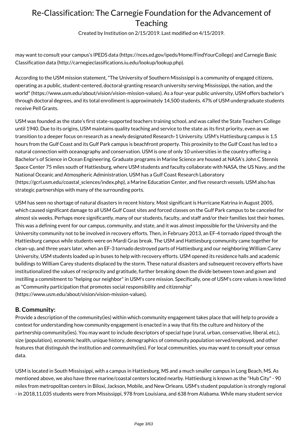Created by Institution on 2/15/2019. Last modified on 4/15/2019.

may want to consult your campus's IPEDS data (https://nces.ed.gov/ipeds/Home/FindYourCollege) and Carnegie Basic Classification data (http://carnegieclassifications.iu.edu/lookup/lookup.php).

According to the USM mission statement, "The University of Southern Mississippi is a community of engaged citizens, operating as a public, student-centered, doctoral-granting research university serving Mississippi, the nation, and the world" (https://www.usm.edu/about/vision/vision-mission-values). As a four-year public university, USM offers bachelor's through doctoral degrees, and its total enrollment is approximately 14,500 students. 47% of USM undergraduate students receive Pell Grants.

USM was founded as the state's first state-supported teachers training school, and was called the State Teachers College until 1940. Due to its origins, USM maintains quality teaching and service to the state as its first priority, even as we transition to a deeper focus on research as a newly designated Research-1 University. USM's Hattiesburg campus is 1.5 hours from the Gulf Coast and its Gulf Park campus is beachfront property. This proximity to the Gulf Coast has led to a natural connection with oceanography and conservation. USM is one of only 10 universities in the country offering a Bachelor's of Science in Ocean Engineering. Graduate programs in Marine Science are housed at NASA's John C Stennis Space Center 75 miles south of Hattiesburg, where USM students and faculty collaborate with NASA, the US Navy, and the National Oceanic and Atmospheric Administration. USM has a Gulf Coast Research Laboratory (https://gcrl.usm.edu/coastal\_sciences/index.php), a Marine Education Center, and five research vessels. USM also has strategic partnerships with many of the surrounding ports.

USM has seen no shortage of natural disasters in recent history. Most significant is Hurricane Katrina in August 2005, which caused significant damage to all USM Gulf Coast sites and forced classes on the Gulf Park campus to be canceled for almost six weeks. Perhaps more significantly, many of our students, faculty, and staff and/or their families lost their homes. This was a defining event for our campus, community, and state, and it was almost impossible for the University and the University community not to be involved in recovery efforts. Then, in February 2013, an EF-4 tornado ripped through the Hattiesburg campus while students were on Mardi Gras break. The USM and Hattiesburg community came together for clean-up, and three years later, when an EF-3 tornado destroyed parts of Hattiesburg and our neighboring William Carey University, USM students loaded up in buses to help with recovery efforts. USM opened its residence halls and academic buildings to William Carey students displaced by the storm. These natural disasters and subsequent recovery efforts have institutionalized the values of reciprocity and gratitude, further breaking down the divide between town and gown and instilling a commitment to "helping our neighbor" in USM's core mission. Specifically, one of USM's core values is now listed as "Community participation that promotes social responsibility and citizenship" (https://www.usm.edu/about/vision/vision-mission-values).

#### **B. Community:**

Provide a description of the community(ies) within which community engagement takes place that will help to provide a context for understanding how community engagement is enacted in a way that fits the culture and history of the partnership community(ies). You may want to include descriptors of special type (rural, urban, conservative, liberal, etc.), size (population), economic health, unique history, demographics of community population served/employed, and other features that distinguish the institution and community(ies). For local communities, you may want to consult your census data.

USM is located in South Mississippi, with a campus in Hattiesburg, MS and a much smaller campus in Long Beach, MS. As mentioned above, we also have three marine/coastal centers located nearby. Hattiesburg is known as the "Hub City" - 90 miles from metropolitan centers in Biloxi, Jackson, Mobile, and New Orleans. USM's student population is strongly regional - in 2018,11,035 students were from Mississippi, 978 from Louisiana, and 638 from Alabama. While many student service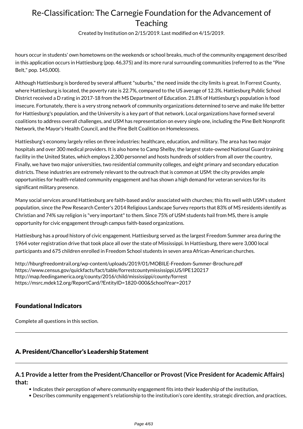Created by Institution on 2/15/2019. Last modified on 4/15/2019.

hours occur in students' own hometowns on the weekends or school breaks, much of the community engagement described in this application occurs in Hattiesburg (pop. 46,375) and its more rural surrounding communities (referred to as the "Pine Belt," pop. 145,000).

Although Hattiesburg is bordered by several affluent "suburbs," the need inside the city limits is great. In Forrest County, where Hattiesburg is located, the poverty rate is 22.7%, compared to the US average of 12.3%. Hattiesburg Public School District received a D rating in 2017-18 from the MS Department of Education. 21.8% of Hattiesburg's population is food insecure. Fortunately, there is a very strong network of community organizations determined to serve and make life better for Hattiesburg's population, and the University is a key part of that network. Local organizations have formed several coalitions to address overall challenges, and USM has representation on every single one, including the Pine Belt Nonprofit Network, the Mayor's Health Council, and the Pine Belt Coalition on Homelessness.

Hattiesburg's economy largely relies on three industries: healthcare, education, and military. The area has two major hospitals and over 300 medical providers. It is also home to Camp Shelby, the largest state-owned National Guard training facility in the United States, which employs 2,300 personnel and hosts hundreds of soldiers from all over the country, Finally, we have two major universities, two residential community colleges, and eight primary and secondary education districts. These industries are extremely relevant to the outreach that is common at USM: the city provides ample opportunities for health-related community engagement and has shown a high demand for veteran services for its significant military presence.

Many social services around Hattiesburg are faith-based and/or associated with churches; this fits well with USM's student population, since the Pew Research Center's 2014 Religious Landscape Survey reports that 83% of MS residents identify as Christian and 74% say religion is "very important" to them. Since 75% of USM students hail from MS, there is ample opportunity for civic engagement through campus faith-based organizations.

Hattiesburg has a proud history of civic engagement. Hattiesburg served as the largest Freedom Summer area during the 1964 voter registration drive that took place all over the state of Mississippi. In Hattiesburg, there were 3,000 local participants and 675 children enrolled in Freedom School students in seven area African-American churches.

http://hburgfreedomtrail.org/wp-content/uploads/2019/01/MOBILE-Freedom-Summer-Brochure.pdf https://www.census.gov/quickfacts/fact/table/forrestcountymississippi,US/IPE120217 http://map.feedingamerica.org/county/2016/child/mississippi/county/forrest https://msrc.mdek12.org/ReportCard/?EntityID=1820-000&SchoolYear=2017

## Foundational Indicators

Complete all questions in this section.

#### A. President/Chancellor's Leadership Statement

#### **A.1 Provide a letter from the President/Chancellor or Provost (Vice President for Academic Affairs) that:**

• Indicates their perception of where community engagement fits into their leadership of the institution,

Describes community engagement's relationship to the institution's core identity, strategic direction, and practices,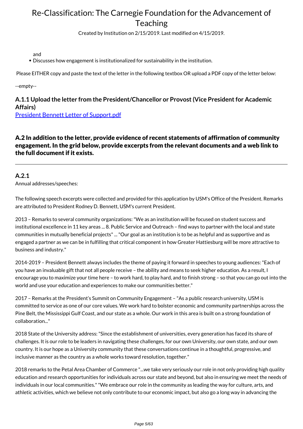Created by Institution on 2/15/2019. Last modified on 4/15/2019.

and

Discusses how engagement is institutionalized for sustainability in the institution.

Please EITHER copy and paste the text of the letter in the following textbox OR upload a PDF copy of the letter below:

--empty--

## **A.1.1 Upload the letter from the President/Chancellor or Provost (Vice President for Academic Affairs)**

[President Bennett Letter of Support.pdf](https://www.givepulse.com/document/download?key=dc572bfa01b00dac06fb859fe0c42703)

A.2 In addition to the letter, provide evidence of recent statements of affirmation of community engagement. In the grid below, provide excerpts from the relevant documents and a web link to the full document if it exists.

### **A.2.1**

Annual addresses/speeches:

The following speech excerpts were collected and provided for this application by USM's Office of the President. Remarks are attributed to President Rodney D. Bennett, USM's current President.

2013 – Remarks to several community organizations: "We as an institution will be focused on student success and institutional excellence in 11 key areas ... 8. Public Service and Outreach – find ways to partner with the local and state communities in mutually beneficial projects" ... "Our goal as an institution is to be as helpful and as supportive and as engaged a partner as we can be in fulfilling that critical component in how Greater Hattiesburg will be more attractive to business and industry."

2014-2019 – President Bennett always includes the theme of paying it forward in speeches to young audiences: "Each of you have an invaluable gift that not all people receive – the ability and means to seek higher education. As a result, I encourage you to maximize your time here – to work hard, to play hard, and to finish strong – so that you can go out into the world and use your education and experiences to make our communities better."

2017 – Remarks at the President's Summit on Community Engagement – "As a public research university, USM is committed to service as one of our core values. We work hard to bolster economic and community partnerships across the Pine Belt, the Mississippi Gulf Coast, and our state as a whole. Our work in this area is built on a strong foundation of collaboration..."

2018 State of the University address: "Since the establishment of universities, every generation has faced its share of challenges. It is our role to be leaders in navigating these challenges, for our own University, our own state, and our own country. It is our hope as a University community that these conversations continue in a thoughtful, progressive, and inclusive manner as the country as a whole works toward resolution, together."

2018 remarks to the Petal Area Chamber of Commerce "...we take very seriously our role in not only providing high quality education and research opportunities for individuals across our state and beyond, but also in ensuring we meet the needs of individuals in our local communities." "We embrace our role in the community as leading the way for culture, arts, and athletic activities, which we believe not only contribute to our economic impact, but also go a long way in advancing the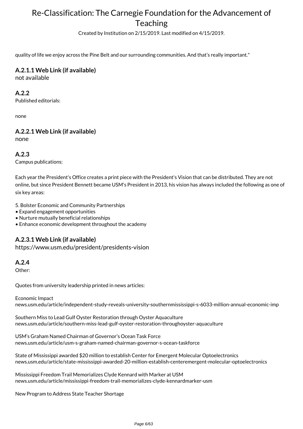Created by Institution on 2/15/2019. Last modified on 4/15/2019.

quality of life we enjoy across the Pine Belt and our surrounding communities. And that's really important."

### **A.2.1.1 Web Link (if available)**

not available

#### **A.2.2**

Published editorials:

none

## **A.2.2.1 Web Link (if available)**

none

#### **A.2.3**

Campus publications:

Each year the President's Office creates a print piece with the President's Vision that can be distributed. They are not online, but since President Bennett became USM's President in 2013, his vision has always included the following as one of six key areas:

5. Bolster Economic and Community Partnerships

- Expand engagement opportunities
- Nurture mutually beneficial relationships
- Enhance economic development throughout the academy

#### **A.2.3.1 Web Link (if available)**

https://www.usm.edu/president/presidents-vision

#### **A.2.4**

Other:

Quotes from university leadership printed in news articles:

Economic Impact news.usm.edu/article/independent-study-reveals-university-southernmississippi-s-6033-million-annual-economic-imp

Southern Miss to Lead Gulf Oyster Restoration through Oyster Aquaculture news.usm.edu/article/southern-miss-lead-gulf-oyster-restoration-throughoyster-aquaculture

USM's Graham Named Chairman of Governor's Ocean Task Force news.usm.edu/article/usm-s-graham-named-chairman-governor-s-ocean-taskforce

State of Mississippi awarded \$20 million to establish Center for Emergent Molecular Optoelectronics news.usm.edu/article/state-mississippi-awarded-20-million-establish-centeremergent-molecular-optoelectronics

Mississippi Freedom Trail Memorializes Clyde Kennard with Marker at USM news.usm.edu/article/mississippi-freedom-trail-memorializes-clyde-kennardmarker-usm

New Program to Address State Teacher Shortage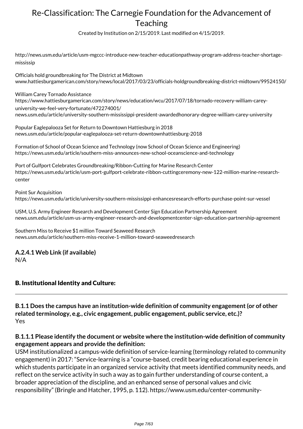Created by Institution on 2/15/2019. Last modified on 4/15/2019.

http://news.usm.edu/article/usm-mgccc-introduce-new-teacher-educationpathway-program-address-teacher-shortagemississip

Officials hold groundbreaking for The District at Midtown www.hattiesburgamerican.com/story/news/local/2017/03/23/officials-holdgroundbreaking-district-midtown/99524150/

William Carey Tornado Assistance https://www.hattiesburgamerican.com/story/news/education/wcu/2017/07/18/tornado-recovery-william-careyuniversity-we-feel-very-fortunate/472274001/ news.usm.edu/article/university-southern-mississippi-president-awardedhonorary-degree-william-carey-university

Popular Eaglepalooza Set for Return to Downtown Hattiesburg in 2018 news.usm.edu/article/popular-eaglepalooza-set-return-downtownhattiesburg-2018

Formation of School of Ocean Science and Technology (now School of Ocean Science and Engineering) https://news.usm.edu/article/southern-miss-announces-new-school-oceanscience-and-technology

Port of Gulfport Celebrates Groundbreaking/Ribbon-Cutting for Marine Research Center https://news.usm.edu/article/usm-port-gulfport-celebrate-ribbon-cuttingceremony-new-122-million-marine-researchcenter

Point Sur Acquisition https://news.usm.edu/article/university-southern-mississippi-enhancesresearch-efforts-purchase-point-sur-vessel

USM, U.S. Army Engineer Research and Development Center Sign Education Partnership Agreement news.usm.edu/article/usm-us-army-engineer-research-and-developmentcenter-sign-education-partnership-agreement

Southern Miss to Receive \$1 million Toward Seaweed Research news.usm.edu/article/southern-miss-receive-1-million-toward-seaweedresearch

## **A.2.4.1 Web Link (if available)**

N/A

### B. Institutional Identity and Culture:

**B.1.1 Does the campus have an institution-wide definition of community engagement (or of other related terminology, e.g., civic engagement, public engagement, public service, etc.)?** Yes

### **B.1.1.1 Please identify the document or website where the institution-wide definition of community engagement appears and provide the definition:**

USM institutionalized a campus-wide definition of service-learning (terminology related to community engagement) in 2017: "Service-learning is a "course-based, credit bearing educational experience in which students participate in an organized service activity that meets identified community needs, and reflect on the service activity in such a way as to gain further understanding of course content, a broader appreciation of the discipline, and an enhanced sense of personal values and civic responsibility" (Bringle and Hatcher, 1995, p. 112). https://www.usm.edu/center-community-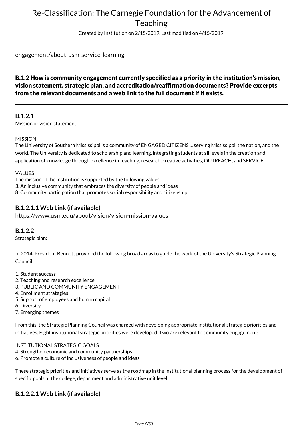Created by Institution on 2/15/2019. Last modified on 4/15/2019.

engagement/about-usm-service-learning

### B.1.2 How is community engagement currently specified as a priority in the institution's mission, vision statement, strategic plan, and accreditation/reaffirmation documents? Provide excerpts from the relevant documents and a web link to the full document if it exists.

#### **B.1.2.1**

Mission or vision statement:

#### MISSION

The University of Southern Mississippi is a community of ENGAGED CITIZENS ... serving Mississippi, the nation, and the world. The University is dedicated to scholarship and learning, integrating students at all levels in the creation and application of knowledge through excellence in teaching, research, creative activities, OUTREACH, and SERVICE.

#### VALUES

The mission of the institution is supported by the following values: 3. An inclusive community that embraces the diversity of people and ideas 8. Community participation that promotes social responsibility and citizenship

#### **B.1.2.1.1 Web Link (if available)**

https://www.usm.edu/about/vision/vision-mission-values

#### **B.1.2.2**

Strategic plan:

In 2014, President Bennett provided the following broad areas to guide the work of the University's Strategic Planning Council.

- 1. Student success
- 2. Teaching and research excellence
- 3. PUBLIC AND COMMUNITY ENGAGEMENT
- 4. Enrollment strategies
- 5. Support of employees and human capital
- 6. Diversity
- 7. Emerging themes

From this, the Strategic Planning Council was charged with developing appropriate institutional strategic priorities and initiatives. Eight institutional strategic priorities were developed. Two are relevant to community engagement:

#### INSTITUTIONAL STRATEGIC GOALS

- 4. Strengthen economic and community partnerships
- 6. Promote a culture of inclusiveness of people and ideas

These strategic priorities and initiatives serve as the roadmap in the institutional planning process for the development of specific goals at the college, department and administrative unit level.

## **B.1.2.2.1 Web Link (if available)**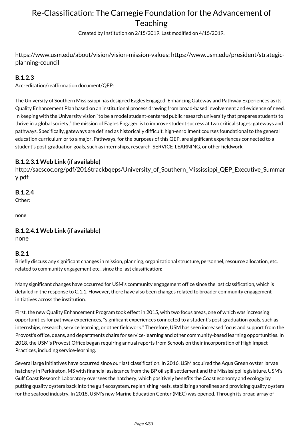Created by Institution on 2/15/2019. Last modified on 4/15/2019.

https://www.usm.edu/about/vision/vision-mission-values; https://www.usm.edu/president/strategicplanning-council

### **B.1.2.3**

Accreditation/reaffirmation document/QEP:

The University of Southern Mississippi has designed Eagles Engaged: Enhancing Gateway and Pathway Experiences as its Quality Enhancement Plan based on an institutional process drawing from broad-based involvement and evidence of need. In keeping with the University vision "to be a model student-centered public research university that prepares students to thrive in a global society," the mission of Eagles Engaged is to improve student success at two critical stages: gateways and pathways. Specifically, gateways are defined as historically difficult, high-enrollment courses foundational to the general education curriculum or to a major. Pathways, for the purposes of this QEP, are significant experiences connected to a student's post-graduation goals, such as internships, research, SERVICE-LEARNING, or other fieldwork.

#### **B.1.2.3.1 Web Link (if available)**

http://sacscoc.org/pdf/2016trackbqeps/University\_of\_Southern\_Mississippi\_QEP\_Executive\_Summar y.pdf

### **B.1.2.4**

Other:

none

### **B.1.2.4.1 Web Link (if available)**

none

#### **B.2.1**

Briefly discuss any significant changes in mission, planning, organizational structure, personnel, resource allocation, etc. related to community engagement etc., since the last classification:

Many significant changes have occurred for USM's community engagement office since the last classification, which is detailed in the response to C.1.1. However, there have also been changes related to broader community engagement initiatives across the institution.

First, the new Quality Enhancement Program took effect in 2015, with two focus areas, one of which was increasing opportunities for pathway experiences, "significant experiences connected to a student's post-graduation goals, such as internships, research, service learning, or other fieldwork." Therefore, USM has seen increased focus and support from the Provost's office, deans, and departments chairs for service-learning and other community-based learning opportunities. In 2018, the USM's Provost Office began requiring annual reports from Schools on their incorporation of High Impact Practices, including service-learning.

Several large initiatives have occurred since our last classification. In 2016, USM acquired the Aqua Green oyster larvae hatchery in Perkinston, MS with financial assistance from the BP oil spill settlement and the Mississippi legislature. USM's Gulf Coast Research Laboratory oversees the hatchery, which positively benefits the Coast economy and ecology by putting quality oysters back into the gulf ecosystem, replenishing reefs, stabilizing shorelines and providing quality oysters for the seafood industry. In 2018, USM's new Marine Education Center (MEC) was opened. Through its broad array of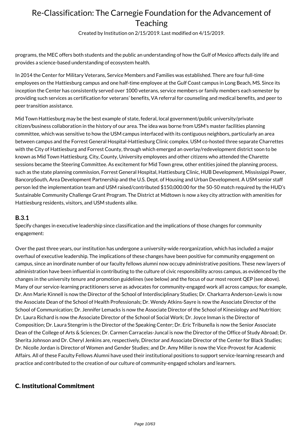Created by Institution on 2/15/2019. Last modified on 4/15/2019.

programs, the MEC offers both students and the public an understanding of how the Gulf of Mexico affects daily life and provides a science-based understanding of ecosystem health.

In 2014 the Center for Military Veterans, Service Members and Families was established. There are four full-time employees on the Hattiesburg campus and one half-time employee at the Gulf Coast campus in Long Beach, MS. Since its inception the Center has consistently served over 1000 veterans, service members or family members each semester by providing such services as certification for veterans' benefits, VA referral for counseling and medical benefits, and peer to peer transition assistance.

Mid Town Hattiesburg may be the best example of state, federal, local government/public university/private citizen/business collaboration in the history of our area. The idea was borne from USM's master facilities planning committee, which was sensitive to how the USM campus interfaced with its contiguous neighbors, particularly an area between campus and the Forrest General Hospital-Hattiesburg Clinic complex. USM co-hosted three separate Charrettes with the City of Hattiesburg and Forrest County, through which emerged an overlay/redevelopment district soon to be known as Mid Town Hattiesburg. City, County, University employees and other citizens who attended the Charette sessions became the Steering Committee. As excitement for Mid Town grew, other entities joined the planning process, such as the state planning commission, Forrest General Hospital, Hattiesburg Clinic, HUB Development, Mississippi Power, BancorpSouth, Area Development Partnership and the U.S. Dept. of Housing and Urban Development. A USM senior staff person led the implementation team and USM raised/contributed \$150,000.00 for the 50-50 match required by the HUD's Sustainable Community Challenge Grant Program. The District at Midtown is now a key city attraction with amenities for Hattiesburg residents, visitors, and USM students alike.

#### **B.3.1**

Specify changes in executive leadership since classification and the implications of those changes for community engagement:

Over the past three years, our institution has undergone a university-wide reorganization, which has included a major overhaul of executive leadership. The implications of these changes have been positive for community engagement on campus, since an inordinate number of our faculty fellows alumni now occupy administrative positions. These new layers of administration have been influential in contributing to the culture of civic responsibility across campus, as evidenced by the changes in the university tenure and promotion guidelines (see below) and the focus of our most recent QEP (see above). Many of our service-learning practitioners serve as advocates for community-engaged work all across campus; for example, Dr. Ann Marie Kinnell is now the Director of the School of Interdisciplinary Studies; Dr. Charkarra Anderson-Lewis is now the Associate Dean of the School of Health Professionals; Dr. Wendy Atkins-Sayre is now the Associate Director of the School of Communication; Dr. Jennifer Lemacks is now the Associate Director of the School of Kinesiology and Nutrition; Dr. Laura Richard is now the Associate Director of the School of Social Work; Dr. Joyce Inman is the Director of Composition; Dr. Laura Stengrim is the Director of the Speaking Center; Dr. Eric Tribunella is now the Senior Associate Dean of the College of Arts & Sciences; Dr. Carmen Carracelas-Juncal is now the Director of the Office of Study Abroad; Dr. Sherita Johnson and Dr. Cheryl Jenkins are, respectively, Director and Associate Director of the Center for Black Studies; Dr. Nicolle Jordan is Director of Women and Gender Studies; and Dr. Amy Miller is now the Vice-Provost for Academic Affairs. All of these Faculty Fellows Alumni have used their institutional positions to support service-learning research and practice and contributed to the creation of our culture of community-engaged scholars and learners.

#### C. Institutional Commitment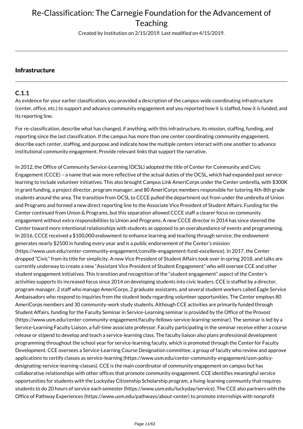Created by Institution on 2/15/2019. Last modified on 4/15/2019.

#### Infrastructure

#### **C.1.1**

As evidence for your earlier classification, you provided a description of the campus-wide coordinating infrastructure (center, office, etc.) to support and advance community engagement and you reported how it is staffed, how it is funded, and its reporting line.

For re-classification, describe what has changed, if anything, with this infrastructure, its mission, staffing, funding, and reporting since the last classification. If the campus has more than one center coordinating community engagement, describe each center, staffing, and purpose and indicate how the multiple centers interact with one another to advance institutional community engagement. Provide relevant links that support the narrative.

In 2012, the Office of Community Service-Learning (OCSL) adopted the title of Center for Community and Civic Engagement (CCCE) – a name that was more reflective of the actual duties of the OCSL, which had expanded past servicelearning to include volunteer initiatives. This also brought Campus Link AmeriCorps under the Center umbrella, with \$300K in grant funding, a project director, program manager, and 80 AmeriCorps members responsible for tutoring 4th-8th grade students around the area. The transition from OCSL to CCCE pulled the department out from under the umbrella of Union and Programs and formed a new direct reporting line to the Associate Vice President of Student Affairs. Funding for the Center continued from Union & Programs, but this separation allowed CCCE staff a clearer focus on community engagement without extra responsibilities to Union and Programs. A new CCCE director in 2014 has since steered the Center toward more intentional relationships with students as opposed to an overabundance of events and programming. In 2016, CCCE received a \$100,000 endowment to enhance learning and teaching through service; the endowment generates nearly \$2500 in funding every year and is a public endorsement of the Center's mission (https://www.usm.edu/center-community-engagement/conville-engagement-fund-excellence). In 2017, the Center dropped "Civic" from its title for simplicity. A new Vice President of Student Affairs took over in spring 2018, and talks are currently underway to create a new "Assistant Vice President of Student Engagement" who will oversee CCE and other student engagement initiatives. This transition and recognition of the "student engagement" aspect of the Center's activities supports its increased focus since 2014 on developing students into civic leaders. CCE is staffed by a director, program manager, 2 staff who manage AmeriCorps, 2 graduate assistants, and several student workers called Eagle Service Ambassadors who respond to inquiries from the student body regarding volunteer opportunities. The Center employs 80 AmeriCorps members and 30 community-work study students. Although CCE activities are primarily funded through Student Affairs, funding for the Faculty Seminar in Service-Learning seminar is provided by the Office of the Provost (https://www.usm.edu/center-community-engagement/faculty-fellows-service-learning-seminar). The seminar is led by a Service-Learning Faculty Liaison, a full-time associate professor. Faculty participating in the seminar receive either a course release or stipend to develop and teach a service-learning class. The faculty liaison also plans professional development programming throughout the school year for service-learning faculty, which is promoted through the Center for Faculty Development. CCE oversees a Service-Learning Course Designation committee, a group of faculty who review and approve applications to certify classes as service-learning (https://www.usm.edu/center-community-engagement/usm-policydesignating-service-learning-classes). CCE is the main coordinator of community engagement on campus but has collaborative relationships with other offices that promote community engagement. CCE identifies meaningful service opportunities for students with the Luckyday Citizenship Scholarship program, a living-learning community that requires students to do 20 hours of service each semester (https://www.usm.edu/luckyday/service). The CCE also partners with the Office of Pathway Experiences (https://www.usm.edu/pathways/about-center) to promote internships with nonprofit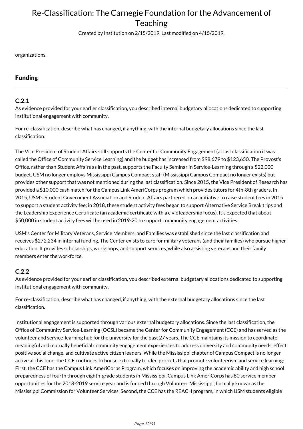Created by Institution on 2/15/2019. Last modified on 4/15/2019.

organizations.

### Funding

#### **C.2.1**

As evidence provided for your earlier classification, you described internal budgetary allocations dedicated to supporting institutional engagement with community.

For re-classification, describe what has changed, if anything, with the internal budgetary allocations since the last classification.

The Vice President of Student Affairs still supports the Center for Community Engagement (at last classification it was called the Office of Community Service Learning) and the budget has increased from \$98,679 to \$123,650. The Provost's Office, rather than Student Affairs as in the past, supports the Faculty Seminar in Service-Learning through a \$22,000 budget. USM no longer employs Mississippi Campus Compact staff (Mississippi Campus Compact no longer exists) but provides other support that was not mentioned during the last classification. Since 2015, the Vice President of Research has provided a \$10,000 cash match for the Campus Link AmeriCorps program which provides tutors for 4th-8th graders. In 2015, USM's Student Government Association and Student Affairs partnered on an initiative to raise student fees in 2015 to support a student activity fee; in 2018, these student activity fees began to support Alternative Service Break trips and the Leadership Experience Certificate (an academic certificate with a civic leadership focus). It's expected that about \$50,000 in student activity fees will be used in 2019-20 to support community engagement activities.

USM's Center for Military Veterans, Service Members, and Families was established since the last classification and receives \$272,234 in internal funding. The Center exists to care for military veterans (and their families) who pursue higher education. It provides scholarships, workshops, and support services, while also assisting veterans and their family members enter the workforce.

### **C.2.2**

As evidence provided for your earlier classification, you described external budgetary allocations dedicated to supporting institutional engagement with community.

For re-classification, describe what has changed, if anything, with the external budgetary allocations since the last classification.

Institutional engagement is supported through various external budgetary allocations. Since the last classification, the Office of Community Service-Learning (OCSL) became the Center for Community Engagement (CCE) and has served as the volunteer and service-learning hub for the university for the past 27 years. The CCE maintains its mission to coordinate meaningful and mutually beneficial community engagement experiences to address university and community needs, effect positive social change, and cultivate active citizen leaders. While the Mississippi chapter of Campus Compact is no longer active at this time, the CCE continues to house externally funded projects that promote volunteerism and service learning: First, the CCE has the Campus Link AmeriCorps Program, which focuses on improving the academic ability and high school preparedness of fourth through eighth-grade students in Mississippi. Campus Link AmeriCorps has 80 service member opportunities for the 2018-2019 service year and is funded through Volunteer Mississippi, formally known as the Mississippi Commission for Volunteer Services. Second, the CCE has the REACH program, in which USM students eligible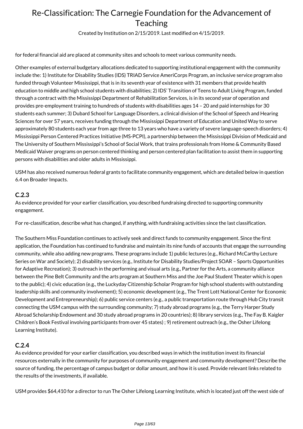Created by Institution on 2/15/2019. Last modified on 4/15/2019.

for federal financial aid are placed at community sites and schools to meet various community needs.

Other examples of external budgetary allocations dedicated to supporting institutional engagement with the community include the: 1) Institute for Disability Studies (IDS) TRIAD Service AmeriCorps Program, an inclusive service program also funded through Volunteer Mississippi, that is in its seventh year of existence with 31 members that provide health education to middle and high school students with disabilities; 2) IDS' Transition of Teens to Adult Living Program, funded through a contract with the Mississippi Department of Rehabilitation Services, is in its second year of operation and provides pre-employment training to hundreds of students with disabilities ages 14 – 20 and paid internships for 30 students each summer; 3) Dubard School for Language Disorders, a clinical division of the School of Speech and Hearing Sciences for over 57 years, receives funding through the Mississippi Department of Education and United Way to serve approximately 80 students each year from age three to 13 years who have a variety of severe language-speech disorders; 4) Mississippi Person Centered Practices Initiative (MS-PCPI), a partnership between the Mississippi Division of Medicaid and The University of Southern Mississippi's School of Social Work, that trains professionals from Home & Community Based Medicaid Waiver programs on person centered thinking and person centered plan facilitation to assist them in supporting persons with disabilities and older adults in Mississippi.

USM has also received numerous federal grants to facilitate community engagement, which are detailed below in question 6.4 on Broader Impacts.

#### **C.2.3**

As evidence provided for your earlier classification, you described fundraising directed to supporting community engagement.

For re-classification, describe what has changed, if anything, with fundraising activities since the last classification.

The Southern Miss Foundation continues to actively seek and direct funds to community engagement. Since the first application, the Foundation has continued to fundraise and maintain its nine funds of accounts that engage the surrounding community, while also adding new programs. These programs include 1) public lectures (e.g., Richard McCarthy Lecture Series on War and Society); 2) disability services (e.g., Institute for Disability Studies/Project SOAR – Sports Opportunities for Adaptive Recreation); 3) outreach in the performing and visual arts (e.g., Partner for the Arts, a community alliance between the Pine Belt Community and the arts program at Southern Miss and the Joe Paul Student Theater which is open to the public); 4) civic education (e.g., the Luckyday Citizenship Scholar Program for high school students with outstanding leadership skills and community involvement); 5) economic development (e.g., The Trent Lott National Center for Economic Development and Entrepreneurship); 6) public service centers (e.g., a public transportation route through Hub City transit connecting the USM campus with the surrounding community; 7) study abroad programs (e.g., the Terry Harper Study Abroad Scholarship Endowment and 30 study abroad programs in 20 countries); 8) library services (e.g., The Fay B. Kaigler Children's Book Festival involving participants from over 45 states) ; 9) retirement outreach (e.g., the Osher Lifelong Learning Institute).

#### **C.2.4**

As evidence provided for your earlier classification, you described ways in which the institution invest its financial resources externally in the community for purposes of community engagement and community development? Describe the source of funding, the percentage of campus budget or dollar amount, and how it is used. Provide relevant links related to the results of the investments, if available.

USM provides \$64,410 for a director to run The Osher Lifelong Learning Institute, which is located just off the west side of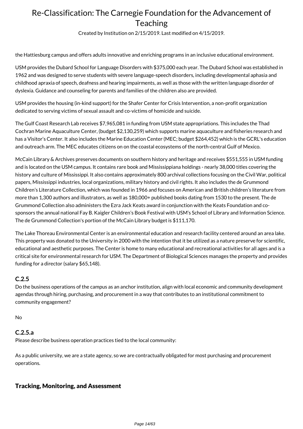Created by Institution on 2/15/2019. Last modified on 4/15/2019.

the Hattiesburg campus and offers adults innovative and enriching programs in an inclusive educational environment.

USM provides the Dubard School for Language Disorders with \$375,000 each year. The Dubard School was established in 1962 and was designed to serve students with severe language-speech disorders, including developmental aphasia and childhood apraxia of speech, deafness and hearing impairments, as well as those with the written language disorder of dyslexia. Guidance and counseling for parents and families of the children also are provided.

USM provides the housing (in-kind support) for the Shafer Center for Crisis Intervention, a non-profit organization dedicated to serving victims of sexual assault and co-victims of homicide and suicide.

The Gulf Coast Research Lab receives \$7,965,081 in funding from USM state appropriations. This includes the Thad Cochran Marine Aquaculture Center, (budget \$2,130,259) which supports marine aquaculture and fisheries research and has a Visitor's Center. It also includes the Marine Education Center (MEC; budget \$264,452) which is the GCRL's education and outreach arm. The MEC educates citizens on on the coastal ecosystems of the north-central Gulf of Mexico.

McCain Library & Archives preserves documents on southern history and heritage and receives \$551,555 in USM funding and is located on the USM campus. It contains rare book and Mississippiana holdings - nearly 38,000 titles covering the history and culture of Mississippi. It also contains approximately 800 archival collections focusing on the Civil War, political papers, Mississippi industries, local organizations, military history and civil rights. It also includes the de Grummond Children's Literature Collection, which was founded in 1966 and focuses on American and British children's literature from more than 1,300 authors and illustrators, as well as 180,000+ published books dating from 1530 to the present. The de Grummond Collection also administers the Ezra Jack Keats award in conjunction with the Keats Foundation and cosponsors the annual national Fay B. Kaigler Children's Book Festival with USM's School of Library and Information Science. The de Grummond Collection's portion of the McCain Library budget is \$111,170.

The Lake Thoreau Environmental Center is an environmental education and research facility centered around an area lake. This property was donated to the University in 2000 with the intention that it be utilized as a nature preserve for scientific, educational and aesthetic purposes. The Center is home to many educational and recreational activities for all ages and is a critical site for environmental research for USM. The Department of Biological Sciences manages the property and provides funding for a director (salary \$65,148).

#### **C.2.5**

Do the business operations of the campus as an anchor institution, align with local economic and community development agendas through hiring, purchasing, and procurement in a way that contributes to an institutional commitment to community engagement?

No

#### **C.2.5.a**

Please describe business operation practices tied to the local community:

As a public university, we are a state agency, so we are contractually obligated for most purchasing and procurement operations.

### Tracking, Monitoring, and Assessment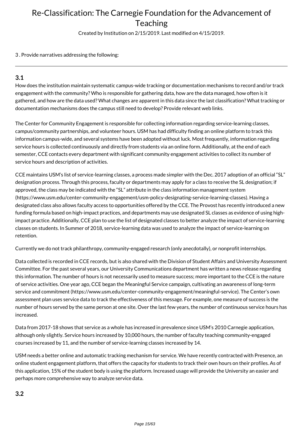Created by Institution on 2/15/2019. Last modified on 4/15/2019.

3 . Provide narratives addressing the following:

### **3.1**

How does the institution maintain systematic campus-wide tracking or documentation mechanisms to record and/or track engagement with the community? Who is responsible for gathering data, how are the data managed, how often is it gathered, and how are the data used? What changes are apparent in this data since the last classification? What tracking or documentation mechanisms does the campus still need to develop? Provide relevant web links.

The Center for Community Engagement is responsible for collecting information regarding service-learning classes, campus/community partnerships, and volunteer hours. USM has had difficulty finding an online platform to track this information campus-wide, and several systems have been adopted without luck. Most frequently, information regarding service hours is collected continuously and directly from students via an online form. Additionally, at the end of each semester, CCE contacts every department with significant community engagement activities to collect its number of service hours and description of activities.

CCE maintains USM's list of service-learning classes, a process made simpler with the Dec. 2017 adoption of an official "SL" designation process. Through this process, faculty or departments may apply for a class to receive the SL designation; if approved, the class may be indicated with the "SL" attribute in the class information management system (https://www.usm.edu/center-community-engagement/usm-policy-designating-service-learning-classes). Having a designated class also allows faculty access to opportunities offered by the CCE. The Provost has recently introduced a new funding formula based on high-impact practices, and departments may use designated SL classes as evidence of using highimpact practice. Additionally, CCE plan to use the list of designated classes to better analyze the impact of service-learning classes on students. In Summer of 2018, service-learning data was used to analyze the impact of service-learning on retention.

Currently we do not track philanthropy, community-engaged research (only anecdotally), or nonprofit internships.

Data collected is recorded in CCE records, but is also shared with the Division of Student Affairs and University Assessment Committee. For the past several years, our University Communications department has written a news release regarding this information. The number of hours is not necessarily used to measure success; more important to the CCE is the nature of service activities. One year ago, CCE began the Meaningful Service campaign, cultivating an awareness of long-term service and commitment (https://www.usm.edu/center-community-engagement/meaningful-service). The Center's own assessment plan uses service data to track the effectiveness of this message. For example, one measure of success is the number of hours served by the same person at one site. Over the last few years, the number of continuous service hours has increased.

Data from 2017-18 shows that service as a whole has increased in prevalence since USM's 2010 Carnegie application, although only slightly. Service hours increased by 10,000 hours, the number of faculty teaching community-engaged courses increased by 11, and the number of service-learning classes increased by 14.

USM needs a better online and automatic tracking mechanism for service. We have recently contracted with Presence, an online student engagement platform, that offers the capacity for students to track their own hours on their profiles. As of this application, 15% of the student body is using the platform. Increased usage will provide the University an easier and perhaps more comprehensive way to analyze service data.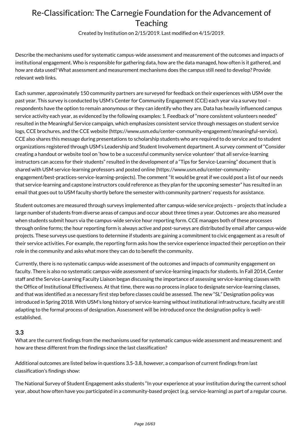Created by Institution on 2/15/2019. Last modified on 4/15/2019.

Describe the mechanisms used for systematic campus-wide assessment and measurement of the outcomes and impacts of institutional engagement. Who is responsible for gathering data, how are the data managed, how often is it gathered, and how are data used? What assessment and measurement mechanisms does the campus still need to develop? Provide relevant web links.

Each summer, approximately 150 community partners are surveyed for feedback on their experiences with USM over the past year. This survey is conducted by USM's Center for Community Engagement (CCE) each year via a survey tool – respondents have the option to remain anonymous or they can identify who they are. Data has heavily influenced campus service activity each year, as evidenced by the following examples: 1. Feedback of "more consistent volunteers needed" resulted in the Meaningful Service campaign, which emphasizes consistent service through messages on student service logs, CCE brochures, and the CCE website (https://www.usm.edu/center-community-engagement/meaningful-service). CCE also shares this message during presentations to scholarship students who are required to do service and to student organizations registered through USM's Leadership and Student Involvement department. A survey comment of "Consider creating a handout or website tool on 'how to be a successful community service volunteer' that all service-learning instructors can access for their students" resulted in the development of a "Tips for Service-Learning" document that is shared with USM service-learning professors and posted online (https://www.usm.edu/center-communityengagement/best-practices-service-learning-projects). The comment "It would be great if we could post a list of our needs that service-learning and capstone instructors could reference as they plan for the upcoming semester" has resulted in an email that goes out to USM faculty shortly before the semester with community partners' requests for assistance.

Student outcomes are measured through surveys implemented after campus-wide service projects – projects that include a large number of students from diverse areas of campus and occur about three times a year. Outcomes are also measured when students submit hours via the campus-wide service hour reporting form. CCE manages both of these processes through online forms; the hour reporting form is always active and post-surveys are distributed by email after campus-wide projects. These surveys use questions to determine if students are gaining a commitment to civic engagement as a result of their service activities. For example, the reporting form asks how the service experience impacted their perception on their role in the community and asks what more they can do to benefit the community.

Currently, there is no systematic campus-wide assessment of the outcomes and impacts of community engagement on faculty. There is also no systematic campus-wide assessment of service-learning impacts for students. In Fall 2014, Center staff and the Service-Learning Faculty Liaison began discussing the importance of assessing service-learning classes with the Office of Institutional Effectiveness. At that time, there was no process in place to designate service-learning classes, and that was identified as a necessary first step before classes could be assessed. The new "SL" Designation policy was introduced in Spring 2018. With USM's long history of service-learning without institutional infrastructure, faculty are still adapting to the formal process of designation. Assessment will be introduced once the designation policy is wellestablished.

#### **3.3**

What are the current findings from the mechanisms used for systematic campus-wide assessment and measurement: and how are these different from the findings since the last classification?

Additional outcomes are listed below in questions 3.5-3.8, however, a comparison of current findings from last classification's findings show:

The National Survey of Student Engagement asks students "In your experience at your institution during the current school year, about how often have you participated in a community-based project (e.g. service-learning) as part of a regular course.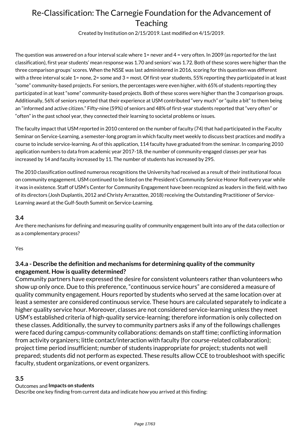Created by Institution on 2/15/2019. Last modified on 4/15/2019.

The question was answered on a four interval scale where 1= never and 4 = very often. In 2009 (as reported for the last classification), first year students' mean response was 1.70 and seniors' was 1.72. Both of these scores were higher than the three comparison groups' scores. When the NSSE was last administered in 2016, scoring for this question was different with a three interval scale 1= none, 2= some and 3 = most. Of first-year students, 55% reporting they participated in at least "some" community-based projects. For seniors, the percentages were even higher, with 65% of students reporting they participated in at least "some" community-based projects. Both of these scores were higher than the 3 comparison groups. Additionally, 56% of seniors reported that their experience at USM contributed "very much" or "quite a bit" to them being an "informed and active citizen." Fifty-nine (59%) of seniors and 48% of first-year students reported that "very often" or "often" in the past school year, they connected their learning to societal problems or issues.

The faculty impact that USM reported in 2010 centered on the number of faculty (74) that had participated in the Faculty Seminar on Service-Learning, a semester-long program in which faculty meet weekly to discuss best practices and modify a course to include service-learning. As of this application, 114 faculty have graduated from the seminar. In comparing 2010 application numbers to data from academic year 2017-18, the number of community-engaged classes per year has increased by 14 and faculty increased by 11. The number of students has increased by 295.

The 2010 classification outlined numerous recognitions the University had received as a result of their institutional focus on community engagement. USM continued to be listed on the President's Community Service Honor Roll every year while it was in existence. Staff of USM's Center for Community Engagement have been recognized as leaders in the field, with two of its directors (Josh Duplantis, 2012 and Christy Arrazattee, 2018) receiving the Outstanding Practitioner of Service-Learning award at the Gulf-South Summit on Service-Learning.

#### **3.4**

Are there mechanisms for defining and measuring quality of community engagement built into any of the data collection or as a complementary process?

Yes

### **3.4.a - Describe the definition and mechanisms for determining quality of the community engagement. How is quality determined?**

Community partners have expressed the desire for consistent volunteers rather than volunteers who show up only once. Due to this preference, "continuous service hours" are considered a measure of quality community engagement. Hours reported by students who served at the same location over at least a semester are considered continuous service. These hours are calculated separately to indicate a higher quality service hour. Moreover, classes are not considered service-learning unless they meet USM's established criteria of high-quality service-learning; therefore information is only collected on these classes. Additionally, the survey to community partners asks if any of the followings challenges were faced during campus-community collaborations: demands on staff time; conflicting information from activity organizers; little contact/interaction with faculty (for course-related collaboration); project time period insufficient; number of students inappropriate for project; students not well prepared; students did not perform as expected. These results allow CCE to troubleshoot with specific faculty, student organizations, or event organizers.

#### **3.5**

#### Outcomes and **Impacts on students**

Describe one key finding from current data and indicate how you arrived at this finding: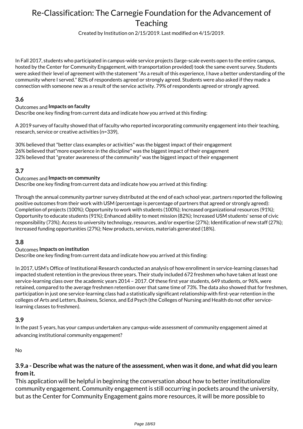Created by Institution on 2/15/2019. Last modified on 4/15/2019.

In Fall 2017, students who participated in campus-wide service projects (large-scale events open to the entire campus, hosted by the Center for Community Engagement, with transportation provided) took the same event survey. Students were asked their level of agreement with the statement "As a result of this experience, I have a better understanding of the community where I served." 82% of respondents agreed or strongly agreed. Students were also asked if they made a connection with someone new as a result of the service activity. 79% of respondents agreed or strongly agreed.

### **3.6**

#### Outcomes and **Impacts on faculty**

Describe one key finding from current data and indicate how you arrived at this finding:

A 2019 survey of faculty showed that of faculty who reported incorporating community engagement into their teaching, research, service or creative activities (n=339),

30% believed that "better class examples or activities" was the biggest impact of their engagement 26% believed that"more experience in the discipline" was the biggest impact of their engagement 32% believed that "greater awareness of the community" was the biggest impact of their engagement

### **3.7**

#### Outcomes and **Impacts on community**

Describe one key finding from current data and indicate how you arrived at this finding:

Through the annual community partner survey distributed at the end of each school year, partners reported the following positive outcomes from their work with USM (percentage is percentage of partners that agreed or strongly agreed): Completion of projects (100%); Opportunity to work with students (100%); Increased organizational resources (91%); Opportunity to educate students (91%); Enhanced ability to meet mission (82%); Increased USM students' sense of civic responsibility (73%); Access to university technology, resources, and/or expertise (27%); Identification of new staff (27%); Increased funding opportunities (27%); New products, services, materials generated (18%).

#### **3.8**

#### Outcomes **Impacts on institution**

Describe one key finding from current data and indicate how you arrived at this finding:

In 2017, USM's Office of Institutional Research conducted an analysis of how enrollment in service-learning classes had impacted student retention in the previous three years. Their study included 672 freshmen who have taken at least one service-learning class over the academic years 2014 – 2017. Of these first year students, 649 students, or 96%, were retained, compared to the average freshmen retention over that same time of 73%. The data also showed that for freshmen, participation in just one service-learning class had a statistically significant relationship with first-year retention in the colleges of Arts and Letters, Business, Science, and Ed Psych (the Colleges of Nursing and Health do not offer servicelearning classes to freshmen).

#### **3.9**

In the past 5 years, has your campus undertaken any campus-wide assessment of community engagement aimed at advancing institutional community engagement?

No

### **3.9.a - Describe what was the nature of the assessment, when was it done, and what did you learn from it.**

This application will be helpful in beginning the conversation about how to better institutionalize community engagement. Community engagement is still occurring in pockets around the university, but as the Center for Community Engagement gains more resources, it will be more possible to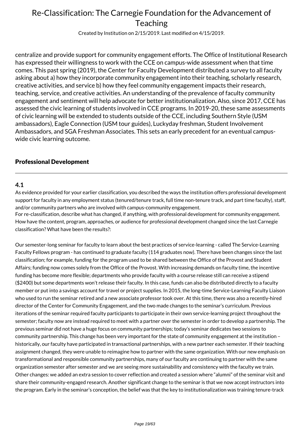Created by Institution on 2/15/2019. Last modified on 4/15/2019.

centralize and provide support for community engagement efforts. The Office of Institutional Research has expressed their willingness to work with the CCE on campus-wide assessment when that time comes. This past spring (2019), the Center for Faculty Development distributed a survey to all faculty asking about a) how they incorporate community engagement into their teaching, scholarly research, creative activities, and service b) how they feel community engagement impacts their research, teaching, service, and creative activities. An understanding of the prevalence of faculty community engagement and sentiment will help advocate for better institutionalization. Also, since 2017, CCE has assessed the civic learning of students involved in CCE programs. In 2019-20, these same assessments of civic learning will be extended to students outside of the CCE, including Southern Style (USM ambassadors), Eagle Connection (USM tour guides), Luckyday freshman, Student Involvement Ambassadors, and SGA Freshman Associates. This sets an early precedent for an eventual campuswide civic learning outcome.

### Professional Development

#### **4.1**

As evidence provided for your earlier classification, you described the ways the institution offers professional development support for faculty in any employment status (tenured/tenure track, full time non-tenure track, and part time faculty), staff, and/or community partners who are involved with campus-community engagement.

For re-classification, describe what has changed, if anything, with professional development for community engagement. How have the content, program, approaches, or audience for professional development changed since the last Carnegie classification? What have been the results?:

Our semester-long seminar for faculty to learn about the best practices of service-learning - called The Service-Learning Faculty Fellows program - has continued to graduate faculty (114 graduates now). There have been changes since the last classification; for example, funding for the program used to be shared between the Office of the Provost and Student Affairs; funding now comes solely from the Office of the Provost. With increasing demands on faculty time, the incentive funding has become more flexible; departments who provide faculty with a course release still can receive a stipend (\$2400) but some departments won't release their faculty. In this case, funds can also be distributed directly to a faculty member or put into a savings account for travel or project supplies. In 2015, the long-time Service-Learning Faculty Liaison who used to run the seminar retired and a new associate professor took over. At this time, there was also a recently-hired director of the Center for Community Engagement, and the two made changes to the seminar's curriculum. Previous iterations of the seminar required faculty participants to participate in their own service-learning project throughout the semester; faculty now are instead required to meet with a partner over the semester in order to develop a partnership. The previous seminar did not have a huge focus on community partnerships; today's seminar dedicates two sessions to community partnership. This change has been very important for the state of community engagement at the institution – historically, our faculty have participated in transactional partnerships, with a new partner each semester. If their teaching assignment changed, they were unable to reimagine how to partner with the same organization. With our new emphasis on transformational and responsible community partnerships, many of our faculty are continuing to partner with the same organization semester after semester and we are seeing more sustainability and consistency with the faculty we train. Other changes: we added an extra session to cover reflection and created a session where "alumni" of the seminar visit and share their community-engaged research. Another significant change to the seminar is that we now accept instructors into the program. Early in the seminar's conception, the belief was that the key to institutionalization was training tenure-track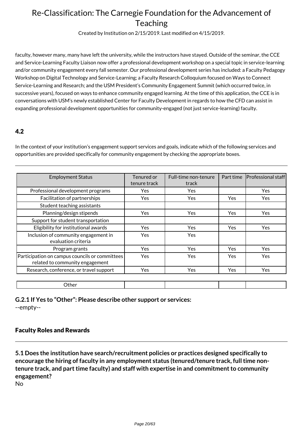Created by Institution on 2/15/2019. Last modified on 4/15/2019.

faculty, however many, many have left the university, while the instructors have stayed. Outside of the seminar, the CCE and Service-Learning Faculty Liaison now offer a professional development workshop on a special topic in service-learning and/or community engagement every fall semester. Our professional development series has included: a Faculty Pedagogy Workshop on Digital Technology and Service-Learning; a Faculty Research Colloquium focused on Ways to Connect Service-Learning and Research; and the USM President's Community Engagement Summit (which occurred twice, in successive years), focused on ways to enhance community engaged learning. At the time of this application, the CCE is in conversations with USM's newly established Center for Faculty Development in regards to how the CFD can assist in expanding professional development opportunities for community-engaged (not just service-learning) faculty.

### 4.2

In the context of your institution's engagement support services and goals, indicate which of the following services and opportunities are provided specifically for community engagement by checking the appropriate boxes.

| <b>Employment Status</b>                                                          | Tenured or   | Full-time non-tenure | Part time  | <b>Professional staff</b> |
|-----------------------------------------------------------------------------------|--------------|----------------------|------------|---------------------------|
|                                                                                   | tenure track | track                |            |                           |
| Professional development programs                                                 | Yes          | Yes                  |            | Yes                       |
| Facilitation of partnerships                                                      | Yes          | Yes                  | Yes        | Yes.                      |
| Student teaching assistants                                                       |              |                      |            |                           |
| Planning/design stipends                                                          | Yes          | Yes                  | <b>Yes</b> | Yes                       |
| Support for student transportation                                                |              |                      |            |                           |
| Eligibility for institutional awards                                              | Yes          | Yes                  | Yes        | <b>Yes</b>                |
| Inclusion of community engagement in<br>evaluation criteria                       | Yes          | <b>Yes</b>           |            |                           |
| Program grants                                                                    | <b>Yes</b>   | <b>Yes</b>           | Yes        | <b>Yes</b>                |
| Participation on campus councils or committees<br>related to community engagement | Yes          | Yes                  | Yes        | <b>Yes</b>                |
| Research, conference, or travel support                                           | Yes          | Yes                  | <b>Yes</b> | Yes                       |
|                                                                                   |              |                      |            |                           |
| Other                                                                             |              |                      |            |                           |

**G.2.1 If Yes to "Other": Please describe other support or services:** --empty--

### Faculty Roles and Rewards

**5.1 Does the institution have search/recruitment policies or practices designed specifically to encourage the hiring of faculty in any employment status (tenured/tenure track, full time nontenure track, and part time faculty) and staff with expertise in and commitment to community engagement?**

No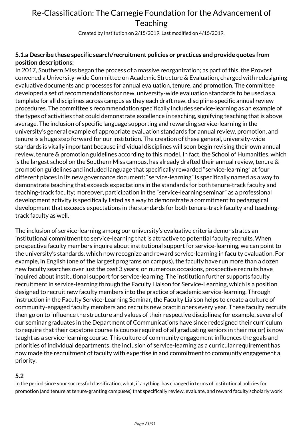Created by Institution on 2/15/2019. Last modified on 4/15/2019.

### **5.1.a Describe these specific search/recruitment policies or practices and provide quotes from position descriptions:**

In 2017, Southern Miss began the process of a massive reorganization; as part of this, the Provost convened a University-wide Committee on Academic Structure & Evaluation, charged with redesigning evaluative documents and processes for annual evaluation, tenure, and promotion. The committee developed a set of recommendations for new, university-wide evaluation standards to be used as a template for all disciplines across campus as they each draft new, discipline-specific annual review procedures. The committee's recommendation specifically includes service-learning as an example of the types of activities that could demonstrate excellence in teaching, signifying teaching that is above average. The inclusion of specific language supporting and rewarding service-learning in the university's general example of appropriate evaluation standards for annual review, promotion, and tenure is a huge step forward for our institution. The creation of these general, university-wide standards is vitally important because individual disciplines will soon begin revising their own annual review, tenure & promotion guidelines according to this model. In fact, the School of Humanities, which is the largest school on the Southern Miss campus, has already drafted their annual review, tenure & promotion guidelines and included language that specifically rewarded "service-learning" at four different places in its new governance document: "service-learning" is specifically named as a way to demonstrate teaching that exceeds expectations in the standards for both tenure-track faculty and teaching-track faculty; moreover, participation in the "service-learning seminar" as a professional development activity is specifically listed as a way to demonstrate a commitment to pedagogical development that exceeds expectations in the standards for both tenure-track faculty and teachingtrack faculty as well.

The inclusion of service-learning among our university's evaluative criteria demonstrates an institutional commitment to service-learning that is attractive to potential faculty recruits. When prospective faculty members inquire about institutional support for service-learning, we can point to the university's standards, which now recognize and reward service-learning in faculty evaluation. For example, in English (one of the largest programs on campus), the faculty have run more than a dozen new faculty searches over just the past 3 years; on numerous occasions, prospective recruits have inquired about institutional support for service-learning. The institution further supports faculty recruitment in service-learning through the Faculty Liaison for Service-Learning, which is a position designed to recruit new faculty members into the practice of academic service-learning. Through instruction in the Faculty Service-Learning Seminar, the Faculty Liaison helps to create a culture of community-engaged faculty members and recruits new practitioners every year. These faculty recruits then go on to influence the structure and values of their respective disciplines; for example, several of our seminar graduates in the Department of Communications have since redesigned their curriculum to require that their capstone course (a course required of all graduating seniors in their major) is now taught as a service-learning course. This culture of community engagement influences the goals and priorities of individual departments: the inclusion of service-learning as a curricular requirement has now made the recruitment of faculty with expertise in and commitment to community engagement a priority.

### **5.2**

In the period since your successful classification, what, if anything, has changed in terms of institutional policies for promotion (and tenure at tenure-granting campuses) that specifically review, evaluate, and reward faculty scholarly work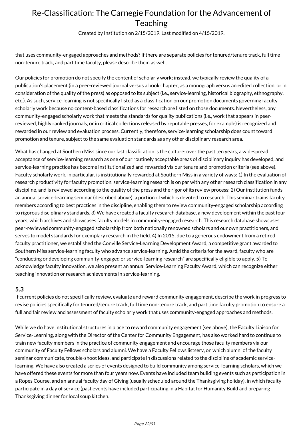Created by Institution on 2/15/2019. Last modified on 4/15/2019.

that uses community-engaged approaches and methods? If there are separate policies for tenured/tenure track, full time non-tenure track, and part time faculty, please describe them as well.

Our policies for promotion do not specify the content of scholarly work; instead, we typically review the quality of a publication's placement (in a peer-reviewed journal versus a book chapter, as a monograph versus an edited collection, or in consideration of the quality of the press) as opposed to its subject (i.e., service-learning, historical biography, ethnography, etc.). As such, service-learning is not specifically listed as a classification on our promotion documents governing faculty scholarly work because no content-based classifications for research are listed on those documents. Nevertheless, any community-engaged scholarly work that meets the standards for quality publications (i.e., work that appears in peerreviewed, highly ranked journals, or in critical collections released by reputable presses, for example) is recognized and rewarded in our review and evaluation process. Currently, therefore, service-learning scholarship does count toward promotion and tenure, subject to the same evaluation standards as any other disciplinary research area.

What has changed at Southern Miss since our last classification is the culture: over the past ten years, a widespread acceptance of service-learning research as one of our routinely acceptable areas of disciplinary inquiry has developed, and service-learning practice has become institutionalized and rewarded via our tenure and promotion criteria (see above). Faculty scholarly work, in particular, is institutionally rewarded at Southern Miss in a variety of ways: 1) In the evaluation of research productivity for faculty promotion, service-learning research is on par with any other research classification in any discipline, and is reviewed according to the quality of the press and the rigor of its review process; 2) Our institution funds an annual service-learning seminar (described above), a portion of which is devoted to research. This seminar trains faculty members according to best practices in the discipline, enabling them to review community-engaged scholarship according to rigorous disciplinary standards. 3) We have created a faculty research database, a new development within the past four years, which archives and showcases faculty models in community-engaged research. This research database showcases peer-reviewed community-engaged scholarship from both nationally renowned scholars and our own practitioners, and serves to model standards for exemplary research in the field. 4) In 2015, due to a generous endowment from a retired faculty practitioner, we established the Conville Service-Learning Development Award, a competitive grant awarded to Southern Miss service-learning faculty who advance service-learning. Amid the criteria for the award, faculty who are "conducting or developing community-engaged or service-learning research" are specifically eligible to apply. 5) To acknowledge faculty innovation, we also present an annual Service-Learning Faculty Award, which can recognize either teaching innovation or research achievements in service-learning.

### **5.3**

If current policies do not specifically review, evaluate and reward community engagement, describe the work in progress to revise policies specifically for tenured/tenure track, full time non-tenure track, and part time faculty promotion to ensure a full and fair review and assessment of faculty scholarly work that uses community-engaged approaches and methods.

While we do have institutional structures in place to reward community engagement (see above), the Faculty Liaison for Service-Learning, along with the Director of the Center for Community Engagement, has also worked hard to continue to train new faculty members in the practice of community engagement and encourage those faculty members via our community of Faculty Fellows scholars and alumni. We have a Faculty Fellows listserv, on which alumni of the faculty seminar communicate, trouble-shoot ideas, and participate in discussions related to the discipline of academic servicelearning. We have also created a series of events designed to build community among service-learning scholars, which we have offered these events for more than four years now. Events have included team building events such as participation in a Ropes Course, and an annual faculty day of Giving (usually scheduled around the Thanksgiving holiday), in which faculty participate in a day of service (past events have included participating in a Habitat for Humanity Build and preparing Thanksgiving dinner for local soup kitchen.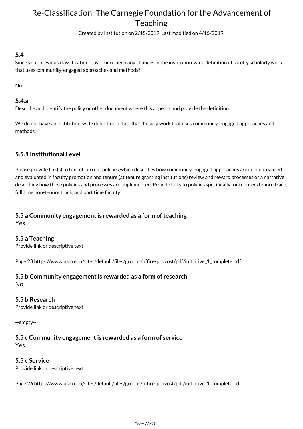Created by Institution on 2/15/2019. Last modified on 4/15/2019.

### **5.4**

Since your previous classification, have there been any changes in the institution-wide definition of faculty scholarly work that uses community-engaged approaches and methods?

No

### **5.4.a**

Describe and identify the policy or other document where this appears and provide the definition.

We do not have an institution-wide definition of faculty scholarly work that uses community-engaged approaches and methods.

### 5.5.1 Institutional Level

Please provide link(s) to text of current policies which describes how community-engaged approaches are conceptualized and evaluated in faculty promotion and tenure (at tenure granting institutions) review and reward processes or a narrative describing how these policies and processes are implemented. Provide links to policies specifically for tenured/tenure track, full time non-tenure track, and part time faculty.

# **5.5 a Community engagement is rewarded as a form of teaching**

Yes

**5.5 a Teaching**

Provide link or descriptive text

Page 23 https://www.usm.edu/sites/default/files/groups/office-provost/pdf/initiative\_1\_complete.pdf

#### **5.5 b Community engagement is rewarded as a form of research** No

#### **5.5 b Research**

Provide link or descriptive text

--empty--

## **5.5 c Community engagement is rewarded as a form of service**

Yes

### **5.5 c Service**

Provide link or descriptive text

Page 26 https://www.usm.edu/sites/default/files/groups/office-provost/pdf/initiative\_1\_complete.pdf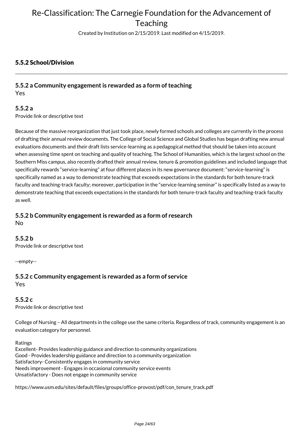Created by Institution on 2/15/2019. Last modified on 4/15/2019.

### 5.5.2 School/Division

#### **5.5.2 a Community engagement is rewarded as a form of teaching** Yes

#### **5.5.2 a**

Provide link or descriptive text

Because of the massive reorganization that just took place, newly formed schools and colleges are currently in the process of drafting their annual review documents. The College of Social Science and Global Studies has began drafting new annual evaluations documents and their draft lists service-learning as a pedagogical method that should be taken into account when assessing time spent on teaching and quality of teaching. The School of Humanities, which is the largest school on the Southern Miss campus, also recently drafted their annual review, tenure & promotion guidelines and included language that specifically rewards "service-learning" at four different places in its new governance document: "service-learning" is specifically named as a way to demonstrate teaching that exceeds expectations in the standards for both tenure-track faculty and teaching-track faculty; moreover, participation in the "service-learning seminar" is specifically listed as a way to demonstrate teaching that exceeds expectations in the standards for both tenure-track faculty and teaching-track faculty as well.

### **5.5.2 b Community engagement is rewarded as a form of research**

No

#### **5.5.2 b**

Provide link or descriptive text

--empty--

## **5.5.2 c Community engagement is rewarded as a form of service**

Yes

## **5.5.2 c**

Provide link or descriptive text

College of Nursing – All departments in the college use the same criteria. Regardless of track, community engagement is an evaluation category for personnel.

Ratings

Excellent- Provides leadership guidance and direction to community organizations Good - Provides leadership guidance and direction to a community organization Satisfactory- Consistently engages in community service Needs improvement - Engages in occasional community service events Unsatisfactory - Does not engage in community service

https://www.usm.edu/sites/default/files/groups/office-provost/pdf/con\_tenure\_track.pdf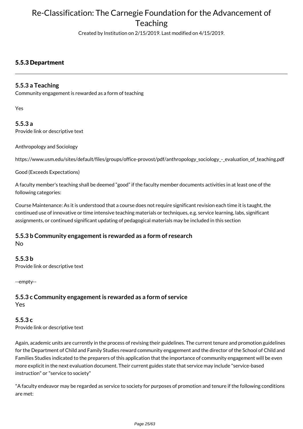Created by Institution on 2/15/2019. Last modified on 4/15/2019.

### 5.5.3 Department

### **5.5.3 a Teaching**

Community engagement is rewarded as a form of teaching

Yes

**5.5.3 a** Provide link or descriptive text

Anthropology and Sociology

https://www.usm.edu/sites/default/files/groups/office-provost/pdf/anthropology\_sociology\_-\_evaluation\_of\_teaching.pdf

Good (Exceeds Expectations)

A faculty member's teaching shall be deemed "good" if the faculty member documents activities in at least one of the following categories:

Course Maintenance: As it is understood that a course does not require significant revision each time it is taught, the continued use of innovative or time intensive teaching materials or techniques, e.g. service learning, labs, significant assignments, or continued significant updating of pedagogical materials may be included in this section

#### **5.5.3 b Community engagement is rewarded as a form of research** No

**5.5.3 b** Provide link or descriptive text

--empty--

**5.5.3 c Community engagement is rewarded as a form of service** Yes

**5.5.3 c** Provide link or descriptive text

Again, academic units are currently in the process of revising their guidelines. The current tenure and promotion guidelines for the Department of Child and Family Studies reward community engagement and the director of the School of Child and Families Studies indicated to the preparers of this application that the importance of community engagement will be even more explicit in the next evaluation document. Their current guides state that service may include "service-based instruction" or "service to society"

"A faculty endeavor may be regarded as service to society for purposes of promotion and tenure if the following conditions are met: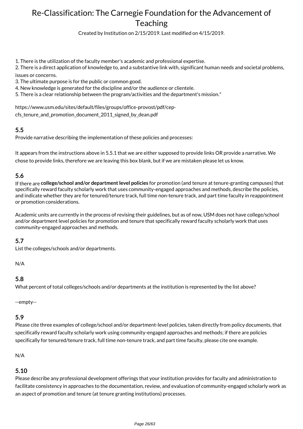Created by Institution on 2/15/2019. Last modified on 4/15/2019.

1. There is the utilization of the faculty member's academic and professional expertise.

2. There is a direct application of knowledge to, and a substantive link with, significant human needs and societal problems, issues or concerns.

3. The ultimate purpose is for the public or common good.

4. New knowledge is generated for the discipline and/or the audience or clientele.

5. There is a clear relationship between the program/activities and the department's mission."

https://www.usm.edu/sites/default/files/groups/office-provost/pdf/cep-

cfs tenure\_and\_promotion\_document\_2011\_signed\_by\_dean.pdf

#### **5.5**

Provide narrative describing the implementation of these policies and processes:

It appears from the instructions above in 5.5.1 that we are either supposed to provide links OR provide a narrative. We chose to provide links, therefore we are leaving this box blank, but if we are mistaken please let us know.

### **5.6**

If there are **college/school and/or department level policies** for promotion (and tenure at tenure-granting campuses) that specifically reward faculty scholarly work that uses community-engaged approaches and methods, describe the policies, and indicate whether they are for tenured/tenure track, full time non-tenure track, and part time faculty in reappointment or promotion considerations.

Academic units are currently in the process of revising their guidelines, but as of now, USM does not have college/school and/or department level policies for promotion and tenure that specifically reward faculty scholarly work that uses community-engaged approaches and methods.

## **5.7**

List the colleges/schools and/or departments.

N/A

#### **5.8**

What percent of total colleges/schools and/or departments at the institution is represented by the list above?

--empty--

#### **5.9**

Please cite three examples of college/school and/or department-level policies, taken directly from policy documents, that specifically reward faculty scholarly work using community-engaged approaches and methods; if there are policies specifically for tenured/tenure track, full time non-tenure track, and part time faculty, please cite one example.

#### N/A

#### **5.10**

Please describe any professional development offerings that your institution provides for faculty and administration to facilitate consistency in approaches to the documentation, review, and evaluation of community-engaged scholarly work as an aspect of promotion and tenure (at tenure granting institutions) processes.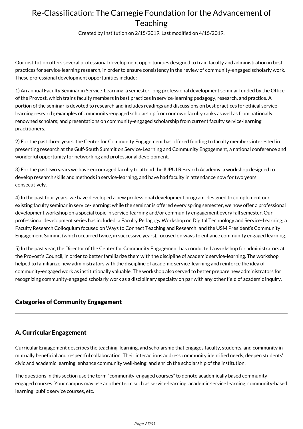Created by Institution on 2/15/2019. Last modified on 4/15/2019.

Our institution offers several professional development opportunities designed to train faculty and administration in best practices for service-learning research, in order to ensure consistency in the review of community-engaged scholarly work. These professional development opportunities include:

1) An annual Faculty Seminar in Service-Learning, a semester-long professional development seminar funded by the Office of the Provost, which trains faculty members in best practices in service-learning pedagogy, research, and practice. A portion of the seminar is devoted to research and includes readings and discussions on best practices for ethical servicelearning research; examples of community-engaged scholarship from our own faculty ranks as well as from nationally renowned scholars; and presentations on community-engaged scholarship from current faculty service-learning practitioners.

2) For the past three years, the Center for Community Engagement has offered funding to faculty members interested in presenting research at the Gulf-South Summit on Service-Learning and Community Engagement, a national conference and wonderful opportunity for networking and professional development.

3) For the past two years we have encouraged faculty to attend the IUPUI Research Academy, a workshop designed to develop research skills and methods in service-learning, and have had faculty in attendance now for two years consecutively.

4) In the past four years, we have developed a new professional development program, designed to complement our existing faculty seminar in service-learning: while the seminar is offered every spring semester, we now offer a professional development workshop on a special topic in service-learning and/or community engagement every fall semester. Our professional development series has included: a Faculty Pedagogy Workshop on Digital Technology and Service-Learning; a Faculty Research Colloquium focused on Ways to Connect Teaching and Research; and the USM President's Community Engagement Summit (which occurred twice, in successive years), focused on ways to enhance community engaged learning.

5) In the past year, the Director of the Center for Community Engagement has conducted a workshop for administrators at the Provost's Council, in order to better familiarize them with the discipline of academic service-learning. The workshop helped to familiarize new administrators with the discipline of academic service-learning and reinforce the idea of community-engaged work as institutionally valuable. The workshop also served to better prepare new administrators for recognizing community-engaged scholarly work as a disciplinary specialty on par with any other field of academic inquiry.

### Categories of Community Engagement

### A. Curricular Engagement

Curricular Engagement describes the teaching, learning, and scholarship that engages faculty, students, and community in mutually beneficial and respectful collaboration. Their interactions address community identified needs, deepen students' civic and academic learning, enhance community well-being, and enrich the scholarship of the institution.

The questions in this section use the term "community-engaged courses" to denote academically based communityengaged courses. Your campus may use another term such as service-learning, academic service learning, community-based learning, public service courses, etc.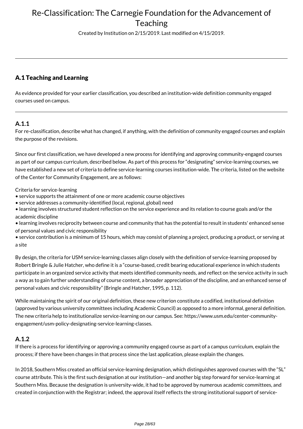Created by Institution on 2/15/2019. Last modified on 4/15/2019.

### A.1 Teaching and Learning

As evidence provided for your earlier classification, you described an institution-wide definition community engaged courses used on campus.

### **A.1.1**

For re-classification, describe what has changed, if anything, with the definition of community engaged courses and explain the purpose of the revisions.

Since our first classification, we have developed a new process for identifying and approving community-engaged courses as part of our campus curriculum, described below. As part of this process for "designating" service-learning courses, we have established a new set of criteria to define service-learning courses institution-wide. The criteria, listed on the website of the Center for Community Engagement, are as follows:

Criteria for service-learning

- service supports the attainment of one or more academic course objectives
- service addresses a community-identified (local, regional, global) need
- learning involves structured student reflection on the service experience and its relation to course goals and/or the academic discipline
- learning involves reciprocity between course and community that has the potential to result in students' enhanced sense of personal values and civic responsibility
- service contribution is a minimum of 15 hours, which may consist of planning a project, producing a product, or serving at a site

By design, the criteria for USM service-learning classes align closely with the definition of service-learning proposed by Robert Bringle & Julie Hatcher, who define it is a "course-based, credit bearing educational experience in which students participate in an organized service activity that meets identified community needs, and reflect on the service activity in such a way as to gain further understanding of course content, a broader appreciation of the discipline, and an enhanced sense of personal values and civic responsibility" (Bringle and Hatcher, 1995, p. 112).

While maintaining the spirit of our original definition, these new criterion constitute a codified, institutional definition (approved by various university committees including Academic Council) as opposed to a more informal, general definition. The new criteria help to institutionalize service-learning on our campus. See: https://www.usm.edu/center-communityengagement/usm-policy-designating-service-learning-classes.

#### **A.1.2**

If there is a process for identifying or approving a community engaged course as part of a campus curriculum, explain the process; if there have been changes in that process since the last application, please explain the changes.

In 2018, Southern Miss created an official service-learning designation, which distinguishes approved courses with the "SL" course attribute. This is the first such designation at our institution—and another big step forward for service-learning at Southern Miss. Because the designation is university-wide, it had to be approved by numerous academic committees, and created in conjunction with the Registrar; indeed, the approval itself reflects the strong institutional support of service-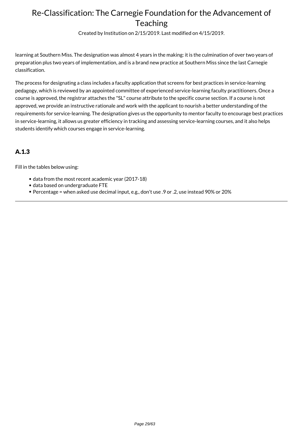Created by Institution on 2/15/2019. Last modified on 4/15/2019.

learning at Southern Miss. The designation was almost 4 years in the making: it is the culmination of over two years of preparation plus two years of implementation, and is a brand new practice at Southern Miss since the last Carnegie classification.

The process for designating a class includes a faculty application that screens for best practices in service-learning pedagogy, which is reviewed by an appointed committee of experienced service-learning faculty practitioners. Once a course is approved, the registrar attaches the "SL" course attribute to the specific course section. If a course is not approved, we provide an instructive rationale and work with the applicant to nourish a better understanding of the requirements for service-learning. The designation gives us the opportunity to mentor faculty to encourage best practices in service-learning, it allows us greater efficiency in tracking and assessing service-learning courses, and it also helps students identify which courses engage in service-learning.

## A.1.3

Fill in the tables below using:

- data from the most recent academic year (2017-18)
- data based on undergraduate FTE
- Percentage = when asked use decimal input, e.g., don't use .9 or .2, use instead 90% or 20%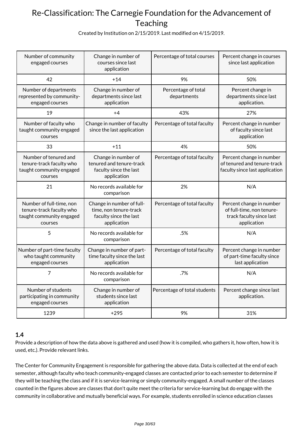Created by Institution on 2/15/2019. Last modified on 4/15/2019.

| Number of community<br>engaged courses                                                      | Change in number of<br>courses since last<br>application                                     | Percentage of total courses        | Percent change in courses<br>since last application                                              |
|---------------------------------------------------------------------------------------------|----------------------------------------------------------------------------------------------|------------------------------------|--------------------------------------------------------------------------------------------------|
| 42                                                                                          | $+14$                                                                                        | 9%                                 | 50%                                                                                              |
| Number of departments<br>represented by community-<br>engaged courses                       | Change in number of<br>departments since last<br>application                                 | Percentage of total<br>departments | Percent change in<br>departments since last<br>application.                                      |
| 19                                                                                          | +4                                                                                           | 43%                                | 27%                                                                                              |
| Number of faculty who<br>taught community engaged<br>courses                                | Change in number of faculty<br>since the last application                                    | Percentage of total faculty        | Percent change in number<br>of faculty since last<br>application                                 |
| 33                                                                                          | $+11$                                                                                        | 4%                                 | 50%                                                                                              |
| Number of tenured and<br>tenure-track faculty who<br>taught community engaged<br>courses    | Change in number of<br>tenured and tenure-track<br>faculty since the last<br>application     | Percentage of total faculty        | Percent change in number<br>of tenured and tenure-track<br>faculty since last application        |
| 21                                                                                          | No records available for<br>comparison                                                       | 2%                                 | N/A                                                                                              |
| Number of full-time, non<br>tenure-track faculty who<br>taught community engaged<br>courses | Change in number of full-<br>time, non tenure-track<br>faculty since the last<br>application | Percentage of total faculty        | Percent change in number<br>of full-time, non tenure-<br>track faculty since last<br>application |
| 5                                                                                           | No records available for<br>comparison                                                       | .5%                                | N/A                                                                                              |
| Number of part-time faculty<br>who taught community<br>engaged courses                      | Change in number of part-<br>time faculty since the last<br>application                      | Percentage of total faculty        | Percent change in number<br>of part-time faculty since<br>last application                       |
| 7                                                                                           | No records available for<br>comparison                                                       | .7%                                | N/A                                                                                              |
| Number of students<br>participating in community<br>engaged courses                         | Change in number of<br>students since last<br>application                                    | Percentage of total students       | Percent change since last<br>application.                                                        |
| 1239                                                                                        | $+295$                                                                                       | 9%                                 | 31%                                                                                              |

## **1.4**

Provide a description of how the data above is gathered and used (how it is compiled, who gathers it, how often, how it is used, etc.). Provide relevant links.

The Center for Community Engagement is responsible for gathering the above data. Data is collected at the end of each semester, although faculty who teach community-engaged classes are contacted prior to each semester to determine if they will be teaching the class and if it is service-learning or simply community-engaged. A small number of the classes counted in the figures above are classes that don't quite meet the criteria for service-learning but do engage with the community in collaborative and mutually beneficial ways. For example, students enrolled in science education classes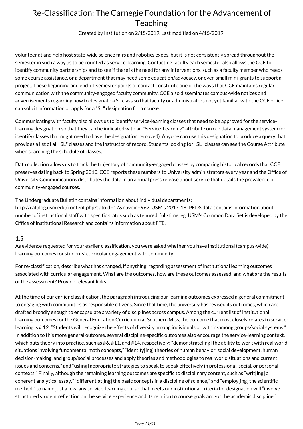Created by Institution on 2/15/2019. Last modified on 4/15/2019.

volunteer at and help host state-wide science fairs and robotics expos, but it is not consistently spread throughout the semester in such a way as to be counted as service-learning. Contacting faculty each semester also allows the CCE to identify community partnerships and to see if there is the need for any interventions, such as a faculty member who needs some course assistance, or a department that may need some education/advocacy, or even small mini-grants to support a project. These beginning and end-of-semester points of contact constitute one of the ways that CCE maintains regular communication with the community-engaged faculty community. CCE also disseminates campus-wide notices and advertisements regarding how to designate a SL class so that faculty or administrators not yet familiar with the CCE office can solicit information or apply for a "SL" designation for a course.

Communicating with faculty also allows us to identify service-learning classes that need to be approved for the servicelearning designation so that they can be indicated with an "Service-Learning" attribute on our data management system (or identify classes that might need to have the designation removed). Anyone can use this designation to produce a query that provides a list of all "SL" classes and the instructor of record. Students looking for "SL" classes can see the Course Attribute when searching the schedule of classes.

Data collection allows us to track the trajectory of community-engaged classes by comparing historical records that CCE preserves dating back to Spring 2010. CCE reports these numbers to University administrators every year and the Office of University Communications distributes the data in an annual press release about service that details the prevalence of community-engaged courses.

The Undergraduate Bulletin contains information about individual departments:

http://catalog.usm.edu/content.php?catoid=17&navoid=967. USM's 2017-18 IPEDS data contains information about number of instructional staff with specific status such as tenured, full-time, eg. USM's Common Data Set is developed by the Office of Institutional Research and contains information about FTE.

#### **1.5**

As evidence requested for your earlier classification, you were asked whether you have institutional (campus-wide) learning outcomes for students' curricular engagement with community.

For re-classification, describe what has changed, if anything, regarding assessment of institutional learning outcomes associated with curricular engagement. What are the outcomes, how are these outcomes assessed, and what are the results of the assessment? Provide relevant links.

At the time of our earlier classification, the paragraph introducing our learning outcomes expressed a general commitment to engaging with communities as responsible citizens. Since that time, the university has revised its outcomes, which are drafted broadly enough to encapsulate a variety of disciplines across campus. Among the current list of institutional learning outcomes for the General Education Curriculum at Southern Miss, the outcome that most closely relates to servicelearning is # 12: "Students will recognize the effects of diversity among individuals or within/among groups/social systems." In addition to this more general outcome, several discipline-specific outcomes also encourage the service-learning context, which puts theory into practice, such as #6, #11, and #14, respectively: "demonstrate[ing] the ability to work with real world situations involving fundamental math concepts," "identify[ing] theories of human behavior, social development, human decision-making, and group/social processes and apply theories and methodologies to real world situations and current issues and concerns," and "us[ing] appropriate strategies to speak to speak effectively in professional, social, or personal contexts." Finally, although the remaining learning outcomes are specific to disciplinary content, such as "writ[ing] a coherent analytical essay," "differentiat[ing] the basic concepts in a discipline of science," and "employ[ing] the scientific method," to name just a few, any service-learning course that meets our institutional criteria for designation will "involve structured student reflection on the service experience and its relation to course goals and/or the academic discipline."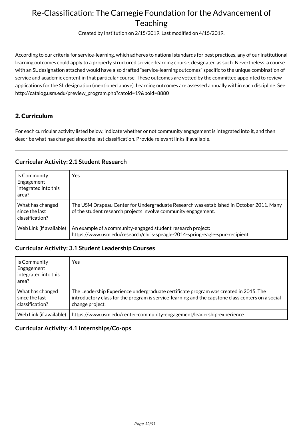Created by Institution on 2/15/2019. Last modified on 4/15/2019.

According to our criteria for service-learning, which adheres to national standards for best practices, any of our institutional learning outcomes could apply to a properly structured service-learning course, designated as such. Nevertheless, a course with an SL designation attached would have also drafted "service-learning outcomes" specific to the unique combination of service and academic content in that particular course. These outcomes are vetted by the committee appointed to review applications for the SL designation (mentioned above). Learning outcomes are assessed annually within each discipline. See: http://catalog.usm.edu/preview\_program.php?catoid=19&poid=8880

### 2. Curriculum

For each curricular activity listed below, indicate whether or not community engagement is integrated into it, and then describe what has changed since the last classification. Provide relevant links if available.

### **Curricular Activity: 2.1 Student Research**

| Is Community<br>Engagement<br>integrated into this<br>area? | Yes                                                                                                                                                       |
|-------------------------------------------------------------|-----------------------------------------------------------------------------------------------------------------------------------------------------------|
| What has changed<br>since the last<br>classification?       | The USM Drapeau Center for Undergraduate Research was established in October 2011. Many<br>of the student research projects involve community engagement. |
| Web Link (if available)                                     | An example of a community-engaged student research project:<br>https://www.usm.edu/research/chris-speagle-2014-spring-eagle-spur-recipient                |

#### **Curricular Activity: 3.1 Student Leadership Courses**

| Is Community<br>Engagement<br>integrated into this<br>area? | Yes                                                                                                                                                                                                          |
|-------------------------------------------------------------|--------------------------------------------------------------------------------------------------------------------------------------------------------------------------------------------------------------|
| What has changed<br>since the last<br>classification?       | The Leadership Experience undergraduate certificate program was created in 2015. The<br>introductory class for the program is service-learning and the capstone class centers on a social<br>change project. |
| Web Link (if available)                                     | https://www.usm.edu/center-community-engagement/leadership-experience                                                                                                                                        |

#### **Curricular Activity: 4.1 Internships/Co-ops**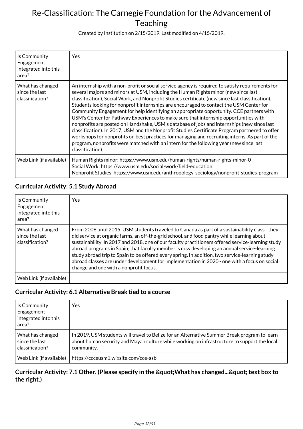Created by Institution on 2/15/2019. Last modified on 4/15/2019.

| Is Community<br>Engagement<br>integrated into this<br>area? | Yes                                                                                                                                                                                                                                                                                                                                                                                                                                                                                                                                                                                                                                                                                                                                                                                                                                                                                                                                                                                      |
|-------------------------------------------------------------|------------------------------------------------------------------------------------------------------------------------------------------------------------------------------------------------------------------------------------------------------------------------------------------------------------------------------------------------------------------------------------------------------------------------------------------------------------------------------------------------------------------------------------------------------------------------------------------------------------------------------------------------------------------------------------------------------------------------------------------------------------------------------------------------------------------------------------------------------------------------------------------------------------------------------------------------------------------------------------------|
| What has changed<br>since the last<br>classification?       | An internship with a non-profit or social service agency is required to satisfy requirements for<br>several majors and minors at USM, including the Human Rights minor (new since last<br>classification), Social Work, and Nonprofit Studies certificate (new since last classification).<br>Students looking for nonprofit internships are encouraged to contact the USM Center for<br>Community Engagement for help identifying an appropriate opportunity. CCE partners with<br>USM's Center for Pathway Experiences to make sure that internship opportunities with<br>nonprofits are posted on Handshake, USM's database of jobs and internships (new since last<br>classification). In 2017, USM and the Nonprofit Studies Certificate Program partnered to offer<br>workshops for nonprofits on best practices for managing and recruiting interns. As part of the<br>program, nonprofits were matched with an intern for the following year (new since last<br>classification). |
| Web Link (if available)                                     | Human Rights minor: https://www.usm.edu/human-rights/human-rights-minor-0<br>Social Work: https://www.usm.edu/social-work/field-education<br>Nonprofit Studies: https://www.usm.edu/anthropology-sociology/nonprofit-studies-program                                                                                                                                                                                                                                                                                                                                                                                                                                                                                                                                                                                                                                                                                                                                                     |

## **Curricular Activity: 5.1 Study Abroad**

| Is Community<br>Engagement<br>integrated into this<br>area? | Yes                                                                                                                                                                                                                                                                                                                                                                                                                                                                                                                                                                                                                                         |
|-------------------------------------------------------------|---------------------------------------------------------------------------------------------------------------------------------------------------------------------------------------------------------------------------------------------------------------------------------------------------------------------------------------------------------------------------------------------------------------------------------------------------------------------------------------------------------------------------------------------------------------------------------------------------------------------------------------------|
| What has changed<br>since the last<br>classification?       | From 2006 until 2015, USM students traveled to Canada as part of a sustainability class - they<br>did service at organic farms, an off-the-grid school, and food pantry while learning about<br>sustainability. In 2017 and 2018, one of our faculty practitioners offered service-learning study<br>abroad programs in Spain; that faculty member is now developing an annual service-learning<br>study abroad trip to Spain to be offered every spring. In addition, two service-learning study<br>abroad classes are under development for implementation in 2020 - one with a focus on social<br>change and one with a nonprofit focus. |
| Web Link (if available)                                     |                                                                                                                                                                                                                                                                                                                                                                                                                                                                                                                                                                                                                                             |

### **Curricular Activity: 6.1 Alternative Break tied to a course**

| Is Community<br>Engagement<br>integrated into this<br>area? | Yes                                                                                                                                                                                                       |
|-------------------------------------------------------------|-----------------------------------------------------------------------------------------------------------------------------------------------------------------------------------------------------------|
| What has changed<br>since the last<br>classification?       | In 2019, USM students will travel to Belize for an Alternative Summer Break program to learn<br>about human security and Mayan culture while working on infrastructure to support the local<br>community. |
| Web Link (if available)                                     | https://ccceusm1.wixsite.com/cce-asb                                                                                                                                                                      |

### Curricular Activity: 7.1 Other. (Please specify in the " What has changed... " text box to **the right.)**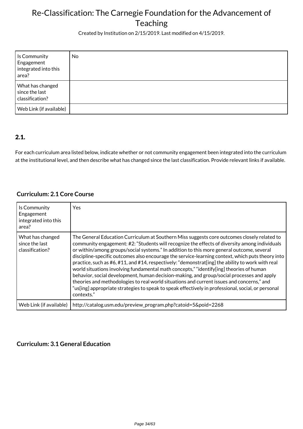Created by Institution on 2/15/2019. Last modified on 4/15/2019.

| Is Community<br>Engagement<br>integrated into this<br>area? | No |
|-------------------------------------------------------------|----|
| What has changed<br>since the last<br>classification?       |    |
| Web Link (if available)                                     |    |

### 2.1.

For each curriculum area listed below, indicate whether or not community engagement been integrated into the curriculum at the institutional level, and then describe what has changed since the last classification. Provide relevant links if available.

### **Curriculum: 2.1 Core Course**

| Is Community<br>Engagement<br>integrated into this<br>area? | <b>Yes</b>                                                                                                                                                                                                                                                                                                                                                                                                                                                                                                                                                                                                                                                                                                                                                                                                                                                                                                 |
|-------------------------------------------------------------|------------------------------------------------------------------------------------------------------------------------------------------------------------------------------------------------------------------------------------------------------------------------------------------------------------------------------------------------------------------------------------------------------------------------------------------------------------------------------------------------------------------------------------------------------------------------------------------------------------------------------------------------------------------------------------------------------------------------------------------------------------------------------------------------------------------------------------------------------------------------------------------------------------|
| What has changed<br>since the last<br>classification?       | The General Education Curriculum at Southern Miss suggests core outcomes closely related to<br>community engagement: #2: "Students will recognize the effects of diversity among individuals<br>or within/among groups/social systems." In addition to this more general outcome, several<br>discipline-specific outcomes also encourage the service-learning context, which puts theory into<br>practice, such as #6, #11, and #14, respectively: "demonstrat[ing] the ability to work with real<br>world situations involving fundamental math concepts," "identify[ing] theories of human<br>behavior, social development, human decision-making, and group/social processes and apply<br>theories and methodologies to real world situations and current issues and concerns," and<br>"us[ing] appropriate strategies to speak to speak effectively in professional, social, or personal<br>contexts." |
| Web Link (if available)                                     | http://catalog.usm.edu/preview_program.php?catoid=5&poid=2268                                                                                                                                                                                                                                                                                                                                                                                                                                                                                                                                                                                                                                                                                                                                                                                                                                              |

### **Curriculum: 3.1 General Education**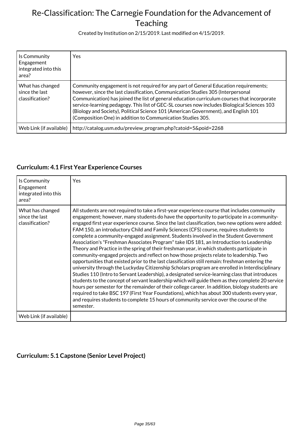Created by Institution on 2/15/2019. Last modified on 4/15/2019.

| Is Community<br>Engagement<br>integrated into this<br>area? | Yes                                                                                                                                                                                                                                                                                                                                                                                                                                                                                                                          |
|-------------------------------------------------------------|------------------------------------------------------------------------------------------------------------------------------------------------------------------------------------------------------------------------------------------------------------------------------------------------------------------------------------------------------------------------------------------------------------------------------------------------------------------------------------------------------------------------------|
| What has changed<br>since the last<br>classification?       | Community engagement is not required for any part of General Education requirements;<br>however, since the last classification, Communication Studies 305 (Interpersonal<br>Communication) has joined the list of general education curriculum courses that incorporate<br>service-learning pedagogy. This list of GEC-SL courses now includes Biological Sciences 103<br>(Biology and Society), Political Science 101 (American Government), and English 101<br>(Composition One) in addition to Communication Studies 305. |
| Web Link (if available)                                     | http://catalog.usm.edu/preview_program.php?catoid=5&poid=2268                                                                                                                                                                                                                                                                                                                                                                                                                                                                |

## **Curriculum: 4.1 First Year Experience Courses**

| Is Community<br>Engagement<br>integrated into this<br>area? | Yes                                                                                                                                                                                                                                                                                                                                                                                                                                                                                                                                                                                                                                                                                                                                                                                                                                                                                                                                                                                                                                                                                                                                                                                                                                                                                                                                                                                                                                                                                  |
|-------------------------------------------------------------|--------------------------------------------------------------------------------------------------------------------------------------------------------------------------------------------------------------------------------------------------------------------------------------------------------------------------------------------------------------------------------------------------------------------------------------------------------------------------------------------------------------------------------------------------------------------------------------------------------------------------------------------------------------------------------------------------------------------------------------------------------------------------------------------------------------------------------------------------------------------------------------------------------------------------------------------------------------------------------------------------------------------------------------------------------------------------------------------------------------------------------------------------------------------------------------------------------------------------------------------------------------------------------------------------------------------------------------------------------------------------------------------------------------------------------------------------------------------------------------|
| What has changed<br>since the last<br>classification?       | All students are not required to take a first-year experience course that includes community<br>engagement; however, many students do have the opportunity to participate in a community-<br>engaged first year experience course. Since the last classification, two new options were added:<br>FAM 150, an introductory Child and Family Sciences (CFS) course, requires students to<br>complete a community-engaged assignment. Students involved in the Student Government<br>Association's "Freshman Associates Program" take IDS 181, an Introduction to Leadership<br>Theory and Practice in the spring of their freshman year, in which students participate in<br>community-engaged projects and reflect on how those projects relate to leadership. Two<br>opportunities that existed prior to the last classification still remain: freshman entering the<br>university through the Luckyday Citizenship Scholars program are enrolled in Interdisciplinary<br>Studies 110 (Intro to Servant Leadership), a designated service-learning class that introduces<br>students to the concept of servant leadership which will guide them as they complete 20 service<br>hours per semester for the remainder of their college career. In addition, biology students are<br>required to take BSC 197 (First Year Foundations), which has about 300 students every year,<br>and requires students to complete 15 hours of community service over the course of the<br>semester. |
| Web Link (if available)                                     |                                                                                                                                                                                                                                                                                                                                                                                                                                                                                                                                                                                                                                                                                                                                                                                                                                                                                                                                                                                                                                                                                                                                                                                                                                                                                                                                                                                                                                                                                      |

### **Curriculum: 5.1 Capstone (Senior Level Project)**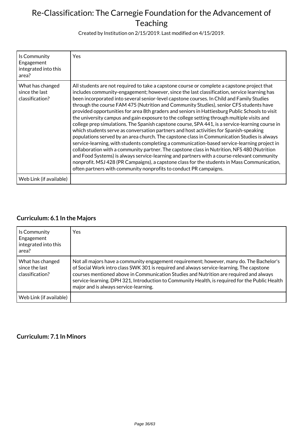Created by Institution on 2/15/2019. Last modified on 4/15/2019.

| Is Community<br>Engagement<br>integrated into this<br>area? | Yes.                                                                                                                                                                                                                                                                                                                                                                                                                                                                                                                                                                                                                                                                                                                                                                                                                                                                                                                                                                                                                                                                                                                                                                                                                                                                                                                                           |
|-------------------------------------------------------------|------------------------------------------------------------------------------------------------------------------------------------------------------------------------------------------------------------------------------------------------------------------------------------------------------------------------------------------------------------------------------------------------------------------------------------------------------------------------------------------------------------------------------------------------------------------------------------------------------------------------------------------------------------------------------------------------------------------------------------------------------------------------------------------------------------------------------------------------------------------------------------------------------------------------------------------------------------------------------------------------------------------------------------------------------------------------------------------------------------------------------------------------------------------------------------------------------------------------------------------------------------------------------------------------------------------------------------------------|
| What has changed<br>since the last<br>classification?       | All students are not required to take a capstone course or complete a capstone project that<br>includes community-engagement; however, since the last classification, service learning has<br>been incorporated into several senior-level capstone courses. In Child and Family Studies<br>through the course FAM 475 (Nutrition and Community Studies), senior CFS students have<br>provided opportunities for area 8th graders and seniors in Hattiesburg Public Schools to visit<br>the university campus and gain exposure to the college setting through multiple visits and<br>college prep simulations. The Spanish capstone course, SPA 441, is a service-learning course in<br>which students serve as conversation partners and host activities for Spanish-speaking<br>populations served by an area church. The capstone class in Communication Studies is always<br>service-learning, with students completing a communication-based service-learning project in<br>collaboration with a community partner. The capstone class in Nutrition, NFS 480 (Nutrition<br>and Food Systems) is always service-learning and partners with a course-relevant community<br>nonprofit. MSJ 428 (PR Campaigns), a capstone class for the students in Mass Communication,<br>often partners with community nonprofits to conduct PR campaigns. |
| Web Link (if available)                                     |                                                                                                                                                                                                                                                                                                                                                                                                                                                                                                                                                                                                                                                                                                                                                                                                                                                                                                                                                                                                                                                                                                                                                                                                                                                                                                                                                |

## **Curriculum: 6.1 In the Majors**

| Is Community<br>Engagement<br>integrated into this<br>area? | Yes                                                                                                                                                                                                                                                                                                                                                                                                                       |
|-------------------------------------------------------------|---------------------------------------------------------------------------------------------------------------------------------------------------------------------------------------------------------------------------------------------------------------------------------------------------------------------------------------------------------------------------------------------------------------------------|
| What has changed<br>since the last<br>classification?       | Not all majors have a community engagement requirement; however, many do. The Bachelor's<br>of Social Work intro class SWK 301 is required and always service-learning. The capstone<br>courses mentioned above in Communication Studies and Nutrition are required and always<br>service-learning. DPH 321, Introduction to Community Health, is required for the Public Health<br>major and is always service-learning. |
| Web Link (if available)                                     |                                                                                                                                                                                                                                                                                                                                                                                                                           |

#### **Curriculum: 7.1 In Minors**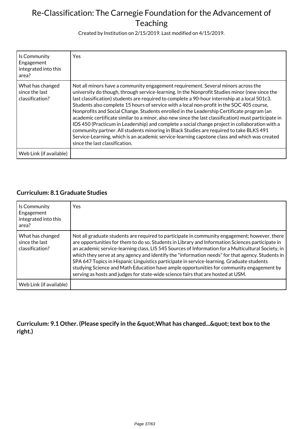Created by Institution on 2/15/2019. Last modified on 4/15/2019.

| Is Community<br>Engagement<br>integrated into this<br>area? | Yes                                                                                                                                                                                                                                                                                                                                                                                                                                                                                                                                                                                                                                                                                                                                                                                                                                                                                                                  |
|-------------------------------------------------------------|----------------------------------------------------------------------------------------------------------------------------------------------------------------------------------------------------------------------------------------------------------------------------------------------------------------------------------------------------------------------------------------------------------------------------------------------------------------------------------------------------------------------------------------------------------------------------------------------------------------------------------------------------------------------------------------------------------------------------------------------------------------------------------------------------------------------------------------------------------------------------------------------------------------------|
| What has changed<br>since the last<br>classification?       | Not all minors have a community engagement requirement. Several minors across the<br>university do though, through service-learning. In the Nonprofit Studies minor (new since the<br>last classification) students are required to complete a 90-hour internship at a local 501c3.<br>Students also complete 15 hours of service with a local non-profit in the SOC 405 course,<br>Nonprofits and Social Change. Students enrolled in the Leadership Certificate program (an<br>academic certificate similar to a minor, also new since the last classification) must participate in<br>IDS 450 (Practicum in Leadership) and complete a social change project in collaboration with a<br>community partner. All students minoring in Black Studies are required to take BLKS 491<br>Service-Learning, which is an academic service-learning capstone class and which was created<br>since the last classification. |
| Web Link (if available)                                     |                                                                                                                                                                                                                                                                                                                                                                                                                                                                                                                                                                                                                                                                                                                                                                                                                                                                                                                      |

### **Curriculum: 8.1 Graduate Studies**

| Is Community<br>Engagement<br>integrated into this<br>area? | Yes                                                                                                                                                                                                                                                                                                                                                                                                                                                                                                                                                                                                                                                                                      |
|-------------------------------------------------------------|------------------------------------------------------------------------------------------------------------------------------------------------------------------------------------------------------------------------------------------------------------------------------------------------------------------------------------------------------------------------------------------------------------------------------------------------------------------------------------------------------------------------------------------------------------------------------------------------------------------------------------------------------------------------------------------|
| What has changed<br>since the last<br>classification?       | Not all graduate students are required to participate in community engagement; however, there<br>are opportunities for them to do so. Students in Library and Information Sciences participate in<br>an academic service-learning class, LIS 545 Sources of Information for a Multicultural Society, in<br>which they serve at any agency and identify the "information needs" for that agency. Students in<br>SPA 647 Topics in Hispanic Linguistics participate in service-learning. Graduate students<br>studying Science and Math Education have ample opportunities for community engagement by<br>serving as hosts and judges for state-wide science fairs that are hosted at USM. |
| Web Link (if available)                                     |                                                                                                                                                                                                                                                                                                                                                                                                                                                                                                                                                                                                                                                                                          |

Curriculum: 9.1 Other. (Please specify in the " What has changed... " text box to the **right.)**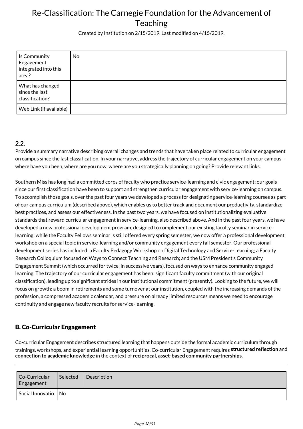Created by Institution on 2/15/2019. Last modified on 4/15/2019.

| Is Community<br>Engagement<br>integrated into this<br>area? | No |
|-------------------------------------------------------------|----|
| What has changed<br>since the last<br>classification?       |    |
| Web Link (if available)                                     |    |

### **2.2.**

Provide a summary narrative describing overall changes and trends that have taken place related to curricular engagement on campus since the last classification. In your narrative, address the trajectory of curricular engagement on your campus – where have you been, where are you now, where are you strategically planning on going? Provide relevant links.

Southern Miss has long had a committed corps of faculty who practice service-learning and civic engagement; our goals since our first classification have been to support and strengthen curricular engagement with service-learning on campus. To accomplish those goals, over the past four years we developed a process for designating service-learning courses as part of our campus curriculum (described above), which enables us to better track and document our productivity, standardize best practices, and assess our effectiveness. In the past two years, we have focused on institutionalizing evaluative standards that reward curricular engagement in service-learning, also described above. And in the past four years, we have developed a new professional development program, designed to complement our existing faculty seminar in servicelearning: while the Faculty Fellows seminar is still offered every spring semester, we now offer a professional development workshop on a special topic in service-learning and/or community engagement every fall semester. Our professional development series has included: a Faculty Pedagogy Workshop on Digital Technology and Service-Learning; a Faculty Research Colloquium focused on Ways to Connect Teaching and Research; and the USM President's Community Engagement Summit (which occurred for twice, in successive years), focused on ways to enhance community engaged learning. The trajectory of our curricular engagement has been: significant faculty commitment (with our original classification), leading up to significant strides in our institutional commitment (presently). Looking to the future, we will focus on growth: a boom in retirements and some turnover at our institution, coupled with the increasing demands of the profession, a compressed academic calendar, and pressure on already limited resources means we need to encourage continuity and engage new faculty recruits for service-learning.

## B. Co-Curricular Engagement

Co-curricular Engagement describes structured learning that happens outside the formal academic curriculum through trainings, workshops, and experiential learning opportunities. Co-curricular Engagement requires **structured reflection** and **connection to academic knowledge** in the context of **reciprocal, asset-based community partnerships**.

| Co-Curricular<br>Engagement | Selected | Description |
|-----------------------------|----------|-------------|
| Social Innovatio No         |          |             |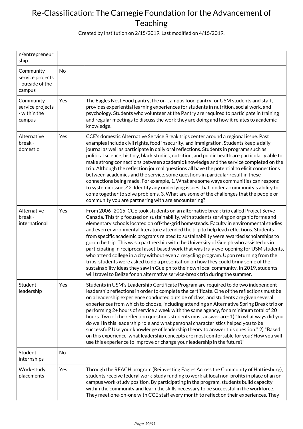Created by Institution on 2/15/2019. Last modified on 4/15/2019.

| n/entrepreneur<br>ship                                      |           |                                                                                                                                                                                                                                                                                                                                                                                                                                                                                                                                                                                                                                                                                                                                                                                                                                                                                                                                                                                                                     |
|-------------------------------------------------------------|-----------|---------------------------------------------------------------------------------------------------------------------------------------------------------------------------------------------------------------------------------------------------------------------------------------------------------------------------------------------------------------------------------------------------------------------------------------------------------------------------------------------------------------------------------------------------------------------------------------------------------------------------------------------------------------------------------------------------------------------------------------------------------------------------------------------------------------------------------------------------------------------------------------------------------------------------------------------------------------------------------------------------------------------|
| Community<br>service projects<br>- outside of the<br>campus | <b>No</b> |                                                                                                                                                                                                                                                                                                                                                                                                                                                                                                                                                                                                                                                                                                                                                                                                                                                                                                                                                                                                                     |
| Community<br>service projects<br>- within the<br>campus     | Yes       | The Eagles Nest Food pantry, the on-campus food pantry for USM students and staff,<br>provides experiential learning experiences for students in nutrition, social work, and<br>psychology. Students who volunteer at the Pantry are required to participate in training<br>and regular meetings to discuss the work they are doing and how it relates to academic<br>knowledge.                                                                                                                                                                                                                                                                                                                                                                                                                                                                                                                                                                                                                                    |
| Alternative<br>break -<br>domestic                          | Yes       | CCE's domestic Alternative Service Break trips center around a regional issue. Past<br>examples include civil rights, food insecurity, and immigration. Students keep a daily<br>journal as well as participate in daily oral reflections. Students in programs such as<br>political science, history, black studies, nutrition, and public health are particularly able to<br>make strong connections between academic knowledge and the service completed on the<br>trip. Although the reflection journal questions all have the potential to elicit connections<br>between academics and the service, some questions in particular result in these<br>connections being made. For example, 1. What are some ways communities can respond<br>to systemic issues? 2. Identify any underlying issues that hinder a community's ability to<br>come together to solve problems. 3. What are some of the challenges that the people or<br>community you are partnering with are encountering?                          |
| Alternative<br>break -<br>international                     | Yes       | From 2006-2015, CCE took students on an alternative break trip called Project Serve<br>Canada. This trip focused on sustainability, with students serving on organic forms and<br>elementary schools located on off-the-grid homesteads. Faculty in environmental studies<br>and even environmental literature attended the trip to help lead reflections. Students<br>from specific academic programs related to sustainability were awarded scholarships to<br>go on the trip. This was a partnership with the University of Guelph who assisted us in<br>participating in reciprocal asset-based work that was truly eye-opening for USM students,<br>who attend college in a city without even a recycling program. Upon returning from the<br>trips, students were asked to do a presentation on how they could bring some of the<br>sustainability ideas they saw in Guelph to their own local community. In 2019, students<br>will travel to Belize for an alternative service-break trip during the summer. |
| Student<br>leadership                                       | Yes       | Students in USM's Leadership Certificate Program are required to do two independent<br>leadership reflections in order to complete the certificate. One of the reflections must be<br>on a leadership experience conducted outside of class, and students are given several<br>experiences from which to choose, including attending an Alternative Spring Break trip or<br>performing 2+ hours of service a week with the same agency, for a minimum total of 20<br>hours. Two of the reflection questions students must answer are: 1) "In what ways did you<br>do well in this leadership role and what personal characteristics helped you to be<br>successful? Use your knowledge of leadership theory to answer this question." 2) "Based<br>on this experience, what leadership concepts are most comfortable for you? How you will<br>use this experience to improve or change your leadership in the future?"                                                                                              |
| Student<br>internships                                      | No        |                                                                                                                                                                                                                                                                                                                                                                                                                                                                                                                                                                                                                                                                                                                                                                                                                                                                                                                                                                                                                     |
| Work-study<br>placements                                    | Yes       | Through the REACH program (Reinvesting Eagles Across the Community of Hattiesburg),<br>students receive federal work-study funding to work at local non-profits in place of an on-<br>campus work-study position. By participating in the program, students build capacity<br>within the community and learn the skills necessary to be successful in the workforce.<br>They meet one-on-one with CCE staff every month to reflect on their experiences. They                                                                                                                                                                                                                                                                                                                                                                                                                                                                                                                                                       |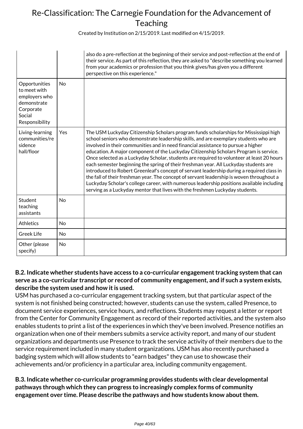Created by Institution on 2/15/2019. Last modified on 4/15/2019.

|                                                                                                        |           | also do a pre-reflection at the beginning of their service and post-reflection at the end of<br>their service. As part of this reflection, they are asked to "describe something you learned<br>from your academics or profession that you think gives/has given you a different<br>perspective on this experience."                                                                                                                                                                                                                                                                                                                                                                                                                                                                                                                                                                                                   |
|--------------------------------------------------------------------------------------------------------|-----------|------------------------------------------------------------------------------------------------------------------------------------------------------------------------------------------------------------------------------------------------------------------------------------------------------------------------------------------------------------------------------------------------------------------------------------------------------------------------------------------------------------------------------------------------------------------------------------------------------------------------------------------------------------------------------------------------------------------------------------------------------------------------------------------------------------------------------------------------------------------------------------------------------------------------|
| Opportunities<br>to meet with<br>employers who<br>demonstrate<br>Corporate<br>Social<br>Responsibility | <b>No</b> |                                                                                                                                                                                                                                                                                                                                                                                                                                                                                                                                                                                                                                                                                                                                                                                                                                                                                                                        |
| Living-learning<br>communities/re<br>sidence<br>hall/floor                                             | Yes       | The USM Luckyday Citizenship Scholars program funds scholarships for Mississippi high<br>school seniors who demonstrate leadership skills, and are exemplary students who are<br>involved in their communities and in need financial assistance to pursue a higher<br>education. A major component of the Luckyday Citizenship Scholars Program is service.<br>Once selected as a Luckyday Scholar, students are required to volunteer at least 20 hours<br>each semester beginning the spring of their freshman year. All Luckyday students are<br>introduced to Robert Greenleaf's concept of servant leadership during a required class in<br>the fall of their freshman year. The concept of servant leadership is woven throughout a<br>Luckyday Scholar's college career, with numerous leadership positions available including<br>serving as a Luckyday mentor that lives with the freshmen Luckyday students. |
| Student<br>teaching<br>assistants                                                                      | <b>No</b> |                                                                                                                                                                                                                                                                                                                                                                                                                                                                                                                                                                                                                                                                                                                                                                                                                                                                                                                        |
| <b>Athletics</b>                                                                                       | <b>No</b> |                                                                                                                                                                                                                                                                                                                                                                                                                                                                                                                                                                                                                                                                                                                                                                                                                                                                                                                        |
| <b>Greek Life</b>                                                                                      | No        |                                                                                                                                                                                                                                                                                                                                                                                                                                                                                                                                                                                                                                                                                                                                                                                                                                                                                                                        |
| Other (please<br>specify)                                                                              | <b>No</b> |                                                                                                                                                                                                                                                                                                                                                                                                                                                                                                                                                                                                                                                                                                                                                                                                                                                                                                                        |

### **B.2. Indicate whether students have access to a co-curricular engagement tracking system that can serve as a co-curricular transcript or record of community engagement, and if such a system exists, describe the system used and how it is used.**

USM has purchased a co-curricular engagement tracking system, but that particular aspect of the system is not finished being constructed; however, students can use the system, called Presence, to document service experiences, service hours, and reflections. Students may request a letter or report from the Center for Community Engagement as record of their reported activities, and the system also enables students to print a list of the experiences in which they've been involved. Presence notifies an organization when one of their members submits a service activity report, and many of our student organizations and departments use Presence to track the service activity of their members due to the service requirement included in many student organizations. USM has also recently purchased a badging system which will allow students to "earn badges" they can use to showcase their achievements and/or proficiency in a particular area, including community engagement.

**B.3. Indicate whether co-curricular programming provides students with clear developmental pathways through which they can progress to increasingly complex forms of community engagement over time. Please describe the pathways and how students know about them.**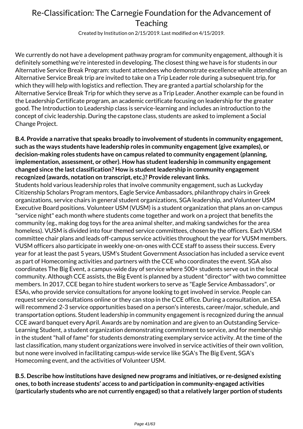Created by Institution on 2/15/2019. Last modified on 4/15/2019.

We currently do not have a development pathway program for community engagement, although it is definitely something we're interested in developing. The closest thing we have is for students in our Alternative Service Break Program: student attendees who demonstrate excellence while attending an Alternative Service Break trip are invited to take on a Trip Leader role during a subsequent trip, for which they will help with logistics and reflection. They are granted a partial scholarship for the Alternative Service Break Trip for which they serve as a Trip Leader. Another example can be found in the Leadership Certificate program, an academic certificate focusing on leadership for the greater good. The Introduction to Leadership class is service-learning and includes an introduction to the concept of civic leadership. During the capstone class, students are asked to implement a Social Change Project.

**B.4. Provide a narrative that speaks broadly to involvement of students in community engagement, such as the ways students have leadership roles in community engagement (give examples), or decision-making roles students have on campus related to community engagement (planning, implementation, assessment, or other). How has student leadership in community engagement changed since the last classification? How is student leadership in community engagement recognized (awards, notation on transcript, etc.)? Provide relevant links.**

Students hold various leadership roles that involve community engagement, such as Luckyday Citizenship Scholars Program mentors, Eagle Service Ambassadors, philanthropy chairs in Greek organizations, service chairs in general student organizations, SGA leadership, and Volunteer USM Executive Board positions. Volunteer USM (VUSM) is a student organization that plans an on-campus "service night" each month where students come together and work on a project that benefits the community (eg., making dog toys for the area animal shelter, and making sandwiches for the area homeless). VUSM is divided into four themed service committees, chosen by the officers. Each VUSM committee chair plans and leads off-campus service activities throughout the year for VUSM members. VUSM officers also participate in weekly one-on-ones with CCE staff to assess their success. Every year for at least the past 5 years, USM's Student Government Association has included a service event as part of Homecoming activities and partners with the CCE who coordinates the event. SGA also coordinates The Big Event, a campus-wide day of service where 500+ students serve out in the local community. Although CCE assists, the Big Event is planned by a student "director" with two committee members. In 2017, CCE began to hire student workers to serve as "Eagle Service Ambassadors", or ESAs, who provide service consultations for anyone looking to get involved in service. People can request service consultations online or they can stop in the CCE office. During a consultation, an ESA will recommend 2-3 service opportunities based on a person's interests, career/major, schedule, and transportation options. Student leadership in community engagement is recognized during the annual CCE award banquet every April. Awards are by nomination and are given to an Outstanding Service-Learning Student, a student organization demonstrating commitment to service, and for membership in the student "hall of fame" for students demonstrating exemplary service activity. At the time of the last classification, many student organizations were involved in service activities of their own volition, but none were involved in facilitating campus-wide service like SGA's The Big Event, SGA's Homecoming event, and the activities of Volunteer USM.

**B.5. Describe how institutions have designed new programs and initiatives, or re-designed existing ones, to both increase students' access to and participation in community-engaged activities (particularly students who are not currently engaged) so that a relatively larger portion of students**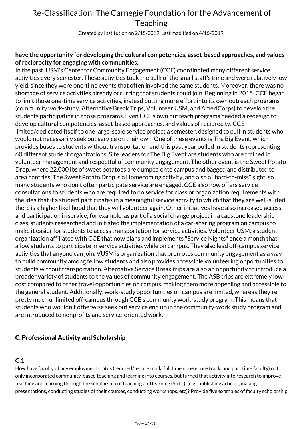Created by Institution on 2/15/2019. Last modified on 4/15/2019.

### **have the opportunity for developing the cultural competencies, asset-based approaches, and values of reciprocity for engaging with communities.**

In the past, USM's Center for Community Engagement (CCE) coordinated many different service activities every semester. These activities took the bulk of the small staff's time and were relatively lowyield, since they were one-time events that often involved the same students. Moreover, there was no shortage of service activities already occurring that students could join. Beginning in 2015, CCE began to limit those one-time service activities, instead putting more effort into its own outreach programs (community work-study, Alternative Break Trips, Volunteer USM, and AmeriCorps) to develop the students participating in those programs. Even CCE's own outreach programs needed a redesign to develop cultural competencies, asset-based approaches, and values of reciprocity. CCE limited/dedicated itself to one large-scale service project a semester, designed to pull in students who would not necessarily seek out service on their own. One of these events is The Big Event, which provides buses to students without transportation and this past year pulled in students representing 60 different student organizations. Site leaders for The Big Event are students who are trained in volunteer management and respectful of community engagement. The other event is the Sweet Potato Drop, where 22,000 lbs of sweet potatoes are dumped onto campus and bagged and distributed to area pantries. The Sweet Potato Drop is a Homecoming activity, and also a "hard-to-miss" sight, so many students who don't often participate service are engaged. CCE also now offers service consultations to students who are required to do service for class or organization requirements with the idea that if a student participates in a meaningful service activity to which that they are well-suited, there is a higher likelihood that they will volunteer again. Other initiatives have also increased access and participation in service; for example, as part of a social change project in a capstone leadership class, students researched and initiated the implementation of a car-sharing program on campus to make it easier for students to access transportation for service activities. Volunteer USM, a student organization affiliated with CCE that now plans and implements "Service Nights" once a month that allow students to participate in service activities while on campus. They also lead off-campus service activities that anyone can join. VUSM is organization that promotes community engagement as a way to build community among fellow students and also provides accessible volunteering opportunities to students without transportation. Alternative Service Break trips are also an opportunity to introduce a broader variety of students to the values of community engagement. The ASB trips are extremely lowcost compared to other travel opportunities on campus, making them more appealing and accessible to the general student. Additionally, work-study opportunities on campus are limited, whereas they're pretty much unlimited off-campus through CCE's community work-study program. This means that students who wouldn't otherwise seek out service end up in the community-work study program and are introduced to nonprofits and service-oriented work.

### C. Professional Activity and Scholarship

## **C.1.**

How have faculty of any employment status (tenured/tenure track, full time non-tenure track, and part time faculty) not only incorporated community-based teaching and learning into courses, but turned that activity into research to improve teaching and learning through the scholarship of teaching and learning (SoTL), (e.g., publishing articles, making presentations, conducting studies of their courses, conducting workshops, etc)? Provide five examples of faculty scholarship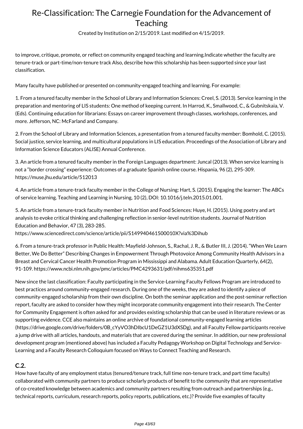Created by Institution on 2/15/2019. Last modified on 4/15/2019.

to improve, critique, promote, or reflect on community engaged teaching and learning.Indicate whether the faculty are tenure-track or part-time/non-tenure track Also, describe how this scholarship has been supported since your last classification.

Many faculty have published or presented on community-engaged teaching and learning. For example:

1. From a tenured faculty member in the School of Library and Information Sciences: Creel, S. (2013). Service learning in the preparation and mentoring of LIS students: One method of keeping current. In Harrod, K., Smallwood, C., & Gubnitskaia, V. (Eds). Continuing education for librarians: Essays on career improvement through classes, workshops, conferences, and more. Jefferson, NC: McFarland and Company.

2. From the School of Library and Information Sciences, a presentation from a tenured faculty member: Bomhold, C. (2015). Social justice, service learning, and multicultural populations in LIS education. Proceedings of the Association of Library and Information Science Educators (ALISE) Annual Conference.

3. An article from a tenured faculty member in the Foreign Languages department: Juncal (2013). When service learning is not a "border crossing" experience: Outcomes of a graduate Spanish online course. Hispania, 96 (2), 295-309. https://muse.jhu.edu/article/512013

4. An article from a tenure-track faculty member in the College of Nursing: Hart, S. (2015). Engaging the learner: The ABCs of service learning. Teaching and Learning in Nursing, 10 (2), DOI: 10.1016/j.teln.2015.01.001.

5. An article from a tenure-track faculty member in Nutrition and Food Sciences: Huye, H. (2015). Using poetry and art analysis to evoke critical thinking and challenging reflection in senior-level nutrition students. Journal of Nutrition Education and Behavior, 47 (3), 283-285.

https://www.sciencedirect.com/science/article/pii/S149940461500010X?via%3Dihub

6. From a tenure-track professor in Public Health: Mayfield-Johnson, S., Rachal, J. R., & Butler III, J. (2014). "When We Learn Better, We Do Better" Describing Changes in Empowerment Through Photovoice Among Community Health Advisors in a Breast and Cervical Cancer Health Promotion Program in Mississippi and Alabama. Adult Education Quarterly, 64(2), 91-109. https://www.ncbi.nlm.nih.gov/pmc/articles/PMC4293631/pdf/nihms635351.pdf

New since the last classification: Faculty participating in the Service-Learning Faculty Fellows Program are introduced to best practices around community-engaged research. During one of the weeks, they are asked to identify a piece of community-engaged scholarship from their own discipline. On both the seminar application and the post-seminar reflection report, faculty are asked to consider how they might incorporate community engagement into their research. The Center for Community Engagement is often asked for and provides existing scholarship that can be used in literature reviews or as supporting evidence. CCE also maintains an online archive of foundational community-engaged learning articles (https://drive.google.com/drive/folders/0B\_cYyVO3hDIbcU1DeGZ1U3dXSDg), and all Faculty Fellow participants receive a jump drive with all articles, handouts, and materials that are covered during the seminar. In addition, our new professional development program (mentioned above) has included a Faculty Pedagogy Workshop on Digital Technology and Service-Learning and a Faculty Research Colloquium focused on Ways to Connect Teaching and Research.

### **C.2.**

How have faculty of any employment status (tenured/tenure track, full time non-tenure track, and part time faculty) collaborated with community partners to produce scholarly products of benefit to the community that are representative of co-created knowledge between academics and community partners resulting from outreach and partnerships (e.g., technical reports, curriculum, research reports, policy reports, publications, etc.)? Provide five examples of faculty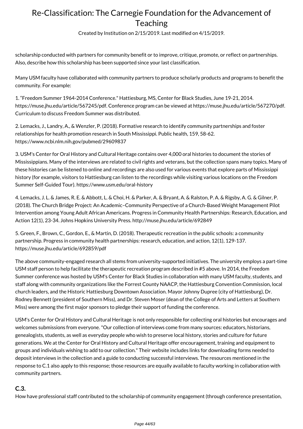Created by Institution on 2/15/2019. Last modified on 4/15/2019.

scholarship conducted with partners for community benefit or to improve, critique, promote, or reflect on partnerships. Also, describe how this scholarship has been supported since your last classification.

Many USM faculty have collaborated with community partners to produce scholarly products and programs to benefit the community. For example:

1. "Freedom Summer 1964-2014 Conference." Hattiesburg, MS, Center for Black Studies, June 19-21, 2014. https://muse.jhu.edu/article/567245/pdf. Conference program can be viewed at https://muse.jhu.edu/article/567270/pdf. Curriculum to discuss Freedom Summer was distributed.

2. Lemacks, J., Landry, A., & Wenzler, P. (2018). Formative research to identify community partnerships and foster relationships for health promotion research in South Mississippi. Public health, 159, 58-62. https://www.ncbi.nlm.nih.gov/pubmed/29609837

3. USM's Center for Oral History and Cultural Heritage contains over 4,000 oral histories to document the stories of Mississippians. Many of the interviews are related to civil rights and veterans, but the collection spans many topics. Many of these histories can be listened to online and recordings are also used for various events that explore parts of Mississippi history (for example, visitors to Hattiesburg can listen to the recordings while visiting various locations on the Freedom Summer Self-Guided Tour). https://www.usm.edu/oral-history

4. Lemacks, J. L. & James, R. E. & Abbott, L. & Choi, H. & Parker, A. & Bryant, A. & Ralston, P. A. & Rigsby, A. G. & Gilner, P. (2018). The Church Bridge Project: An Academic–Community Perspective of a Church-Based Weight Management Pilot Intervention among Young Adult African Americans. Progress in Community Health Partnerships: Research, Education, and Action 12(1), 23-34. Johns Hopkins University Press. http://muse.jhu.edu/article/692849

5. Green, F., Brown, C., Gordon, E., & Martin, D. (2018). Therapeutic recreation in the public schools: a community partnership. Progress in community health partnerships: research, education, and action, 12(1), 129-137. https://muse.jhu.edu/article/692859/pdf

The above community-engaged research all stems from university-supported initiatives. The university employs a part-time USM staff person to help facilitate the therapeutic recreation program described in #5 above. In 2014, the Freedom Summer conference was hosted by USM's Center for Black Studies in collaboration with many USM faculty, students, and staff along with community organizations like the Forrest County NAACP, the Hattiesburg Convention Commission, local church leaders, and the Historic Hattiesburg Downtown Association. Mayor Johnny Dupree (city of Hattiesburg), Dr. Rodney Bennett (president of Southern Miss), and Dr. Steven Moser (dean of the College of Arts and Letters at Southern Miss) were among the first major sponsors to pledge their support of funding the conference.

USM's Center for Oral History and Cultural Heritage is not only responsible for collecting oral histories but encourages and welcomes submissions from everyone. "Our collection of interviews come from many sources: educators, historians, genealogists, students, as well as everyday people who wish to preserve local history, stories and culture for future generations. We at the Center for Oral History and Cultural Heritage offer encouragement, training and equipment to groups and individuals wishing to add to our collection." Their website includes links for downloading forms needed to deposit interviews in the collection and a guide to conducting successful interviews. The resources mentioned in the response to C.1 also apply to this response; those resources are equally available to faculty working in collaboration with community partners.

## **C.3.**

How have professional staff contributed to the scholarship of community engagement (through conference presentation,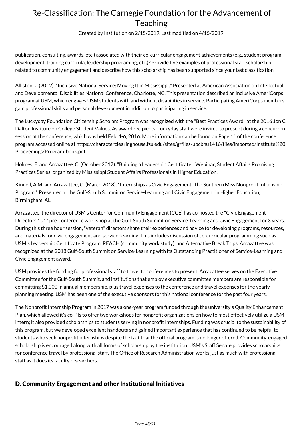Created by Institution on 2/15/2019. Last modified on 4/15/2019.

publication, consulting, awards, etc.) associated with their co-curricular engagement achievements (e.g., student program development, training curricula, leadership programing, etc.)? Provide five examples of professional staff scholarship related to community engagement and describe how this scholarship has been supported since your last classification.

Alliston, J. (2012). "Inclusive National Service: Moving It in Mississippi." Presented at American Association on Intellectual and Developmental Disabilities National Conference, Charlotte, NC. This presentation described an inclusive AmeriCorps program at USM, which engages USM students with and without disabilities in service. Participating AmeriCorps members gain professional skills and personal development in addition to participating in service.

The Luckyday Foundation Citizenship Scholars Program was recognized with the "Best Practices Award" at the 2016 Jon C. Dalton Institute on College Student Values. As award recipients, Luckyday staff were invited to present during a concurrent session at the conference, which was held Feb. 4-6, 2016. More information can be found on Page 11 of the conference program accessed online at https://characterclearinghouse.fsu.edu/sites/g/files/upcbnu1416/files/imported/Institute%20 Proceedings/Program-book.pdf

Holmes, E. and Arrazattee, C. (October 2017). "Building a Leadership Certificate." Webinar, Student Affairs Promising Practices Series, organized by Mississippi Student Affairs Professionals in Higher Education.

Kinnell, A.M. and Arrazattee, C. (March 2018). "Internships as Civic Engagement: The Southern Miss Nonprofit Internship Program." Presented at the Gulf-South Summit on Service-Learning and Civic Engagement in Higher Education, Birmingham, AL.

Arrazattee, the director of USM's Center for Community Engagement (CCE) has co-hosted the "Civic Engagement Directors 101" pre-conference workshop at the Gulf-South Summit on Service-Learning and Civic Engagement for 3 years. During this three hour session, "veteran" directors share their experiences and advice for developing programs, resources, and materials for civic engagement and service-learning. This includes discussion of co-curricular programming such as USM's Leadership Certificate Program, REACH (community work study), and Alternative Break Trips. Arrazattee was recognized at the 2018 Gulf-South Summit on Service-Learning with its Outstanding Practitioner of Service-Learning and Civic Engagement award.

USM provides the funding for professional staff to travel to conferences to present. Arrazattee serves on the Executive Committee for the Gulf-South Summit, and institutions that employ executive committee members are responsible for committing \$1,000 in annual membership, plus travel expenses to the conference and travel expenses for the yearly planning meeting. USM has been one of the executive sponsors for this national conference for the past four years.

The Nonprofit Internship Program in 2017 was a one-year program funded through the university's Quality Enhancement Plan, which allowed it's co-PIs to offer two workshops for nonprofit organizations on how to most effectively utilize a USM intern; it also provided scholarships to students serving in nonprofit internships. Funding was crucial to the sustainability of this program, but we developed excellent handouts and gained important experience that has continued to be helpful to students who seek nonprofit internships despite the fact that the official program is no longer offered. Community-engaged scholarship is encouraged along with all forms of scholarship by the institution. USM's Staff Senate provides scholarships for conference travel by professional staff. The Office of Research Administration works just as much with professional staff as it does its faculty researchers.

### D. Community Engagement and other Institutional Initiatives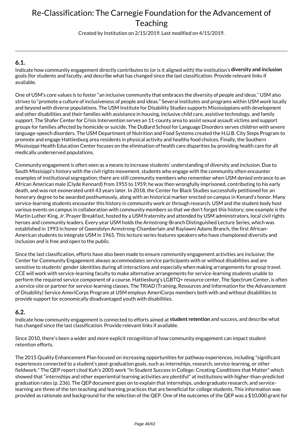Created by Institution on 2/15/2019. Last modified on 4/15/2019.

### **6.1.**

Indicate how community engagement directly contributes to (or is it aligned with) the institution's **diversity and inclusion** goals (for students and faculty, and describe what has changed since the last classification. Provide relevant links if available.

One of USM's core values is to foster "an inclusive community that embraces the diversity of people and ideas." USM also strives to "promote a culture of inclusiveness of people and ideas." Several institutes and programs within USM work locally and beyond with diverse populations. The USM Institute for Disability Studies supports Mississippians with development and other disabilities and their families with assistance in housing, inclusive child care, assistive technology, and family support. The Shafer Center for Crisis Intervention serves an 11-county area to assist sexual assault victims and support groups for families affected by homicide or suicide. The DuBard School for Language Disorders serves children with severe language-speech disorders. The USM Department of Nutrition and Food Systems created the H.U.B. City Steps Program to promote and engage Hattiesburg area residents in physical activity and healthy food choices. Finally, the Southern Mississippi Health Education Center focuses on the elimination of health care disparities by providing health care for all medically underserved populations.

Community engagement is often seen as a means to increase students' understanding of diversity and inclusion. Due to South Missisippi's history with the civil rights movement, students who engage with the community often encounter examples of institutional segregation; there are still community members who remember when USM denied entrance to an African American male (Clyde Kennard) from 1955 to 1959; he was then wrongfully imprisoned, contributing to his early death, and was not exonerated until 43 years later. In 2018, the Center for Black Studies successfully petitioned for an honorary degree to be awarded posthumously, along with an historical marker erected on campus in Kenard's honor. Many service-learning students encounter this history in community work or through research. USM and the student body host various events on campus in collaboration with community members so that we don't forget this history; one example is the Martin Luther King, Jr. Prayer Breakfast, hosted by a USM fraternity and attended by USM administrators, local civil rights heroes and community leaders. Every year USM holds the Armstrong-Branch Distinguished Lecture Series, which was established in 1993 in honor of Gwendolyn Armstrong-Chamberlain and Raylawni Adams Branch, the first African-American students to integrate USM in 1965. This lecture series features speakers who have championed diversity and inclusion and is free and open to the public.

Since the last classification, efforts have also been made to ensure community engagement activities are inclusive; the Center for Community Engagement always accommodates service participants with or without disabilities and are sensitive to students' gender identities during all interactions and especially when making arrangements for group travel. CCE will work with service-learning faculty to make alternative arrangements for service-learning students unable to perform the required service component of a course. Hattiesburg's LGBTQ+ resource center, The Spectrum Center, is often a service site or partner for service-learning classes. The TRIAD (Training, Resources and Information for the Advancement of Disability) Service AmeriCorps Program at USM employs AmeriCorps members both with and without disabilities to provide support for economically disadvantaged youth with disabilities.

### **6.2.**

Indicate how community engagement is connected to efforts aimed at **student retention** and success, and describe what has changed since the last classification. Provide relevant links if available.

Since 2010, there's been a wider and more explicit recognition of how community engagement can impact student retention efforts.

The 2015 Quality Enhancement Plan focused on increasing opportunities for pathway experiences, including "significant experiences connected to a student's post-graduation goals, such as internships, research, service-learning, or other fieldwork." The QEP report cited Kuh's 2005 work "In Student Success in College: Creating Conditions that Matter" which showed that "internships and other experiential learning activities are plentiful" at institutions with higher-than-predicted graduation rates (p. 236). The QEP document goes on to explain that internships, undergraduate research, and servicelearning are three of the ten teaching and learning practices that are beneficial for college students. This information was provided as rationale and background for the selection of the QEP. One of the outcomes of the QEP was a \$10,000 grant for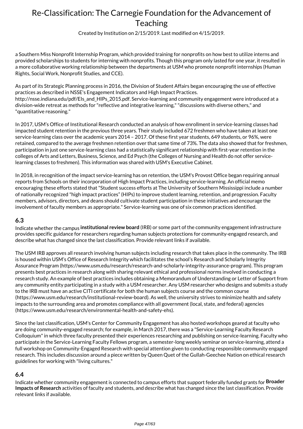Created by Institution on 2/15/2019. Last modified on 4/15/2019.

a Southern Miss Nonprofit Internship Program, which provided training for nonprofits on how best to utilize interns and provided scholarships to students for interning with nonprofits. Though this program only lasted for one year, it resulted in a more collaborative working relationship between the departments at USM who promote nonprofit internships (Human Rights, Social Work, Nonprofit Studies, and CCE).

As part of its Strategic Planning process in 2016, the Division of Student Affairs began encouraging the use of effective practices as described in NSSE's Engagement Indicators and High Impact Practices. http://nsse.indiana.edu/pdf/EIs\_and\_HIPs\_2015.pdf. Service-learning and community engagement were introduced at a division-wide retreat as methods for "reflective and integrative learning," "discussions with diverse others," and "quantitative reasoning."

In 2017, USM's Office of Institutional Research conducted an analysis of how enrollment in service-learning classes had impacted student retention in the previous three years. Their study included 672 freshmen who have taken at least one service-learning class over the academic years 2014 – 2017. Of these first year students, 649 students, or 96%, were retained, compared to the average freshmen retention over that same time of 73%. The data also showed that for freshmen, participation in just one service-learning class had a statistically significant relationship with first-year retention in the colleges of Arts and Letters, Business, Science, and Ed Psych (the Colleges of Nursing and Health do not offer servicelearning classes to freshmen). This information was shared with USM's Executive Cabinet.

In 2018, in recognition of the impact service-learning has on retention, the USM's Provost Office began requiring annual reports from Schools on their incorporation of High Impact Practices, including service-learning. An official memo encouraging these efforts stated that "Student success efforts at The University of Southern Mississippi include a number of nationally recognized "high impact practices" (HIPs) to improve student learning, retention, and progression. Faculty members, advisors, directors, and deans should cultivate student participation in these initiatives and encourage the involvement of faculty members as appropriate." Service-learning was one of six common practices identified.

#### **6.3**

Indicate whether the campus **institutional review board** (IRB) or some part of the community engagement infrastructure provides specific guidance for researchers regarding human subjects protections for community-engaged research, and describe what has changed since the last classification. Provide relevant links if available.

The USM IRB approves all research involving human subjects including research that takes place in the community. The IRB is housed within USM's Office of Research Integrity which facilitates the school's Research and Scholarly Integrity Assurance Program (https://www.usm.edu/research/research-and-scholarly-integrity-assurance-program). This program presents best practices in research along with sharing relevant ethical and professional norms involved in conducting a research study. An example of best practices includes obtaining a Memorandum of Understanding or Letter of Support from any community entity participating in a study with a USM researcher. Any USM researcher who designs and submits a study to the IRB must have an active CITI certificate for both the human subjects course and the common course (https://www.usm.edu/research/institutional-review-board). As well, the university strives to minimize health and safety impacts to the surrounding area and promotes compliance with all government (local, state, and federal) agencies (https://www.usm.edu/research/environmental-health-and-safety-ehs).

Since the last classification, USM's Center for Community Engagement has also hosted workshops geared at faculty who are doing community-engaged research; for example, in March 2017, there was a "Service-Learning Faculty Research Colloquium" in which three faculty presented their experiences researching and publishing on service-learning. Faculty who participate in the Service-Learning Faculty Fellows program, a semester-long weekly seminar on service-learning, attend a full workshop on Community-Engaged Research with special attention given to conducting responsible community engaged research. This includes discussion around a piece written by Queen Quet of the Gullah-Geechee Nation on ethical research guidelines for working with "living cultures."

### **6.4**

Indicate whether community engagement is connected to campus efforts that support federally funded grants for **Broader Impacts of Research** activities of faculty and students, and describe what has changed since the last classification. Provide relevant links if available.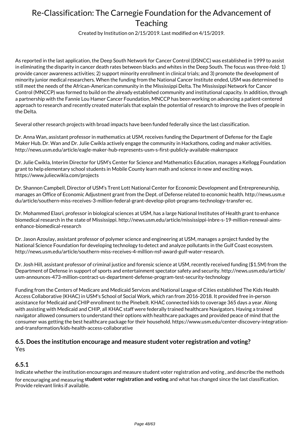Created by Institution on 2/15/2019. Last modified on 4/15/2019.

As reported in the last application, the Deep South Network for Cancer Control (DSNCC) was established in 1999 to assist in eliminating the disparity in cancer death rates between blacks and whites in the Deep South. The focus was three-fold: 1) provide cancer awareness activities; 2) support minority enrollment in clinical trials; and 3) promote the development of minority junior medical researchers. When the funding from the National Cancer Institute ended, USM was determined to still meet the needs of the African-American community in the Mississippi Delta. The Mississippi Network for Cancer Control (MNCCP) was formed to build on the already established community and institutional capacity. In addition, through a partnership with the Fannie Lou Hamer Cancer Foundation, MNCCP has been working on advancing a patient-centered approach to research and recently created materials that explain the potential of research to improve the lives of people in the Delta.

Several other research projects with broad impacts have been funded federally since the last classification.

Dr. Anna Wan, assistant professor in mathematics at USM, receives funding the Department of Defense for the Eagle Maker Hub. Dr. Wan and Dr. Julie Cwikla actively engage the community in Hackathons, coding and maker activities. http://news.usm.edu/article/eagle-maker-hub-represents-usm-s-first-publicly-available-makerspace

Dr. Julie Cwikla, Interim Director for USM's Center for Science and Mathematics Education, manages a Kellogg Foundation grant to help elementary school students in Mobile County learn math and science in new and exciting ways. https://www.juliecwikla.com/projects

Dr. Shannon Campbell, Director of USM's Trent Lott National Center for Economic Development and Entrepreneurship, manages an Office of Economic Adjustment grant from the Dept. of Defense related to economic health. http://news.usm.e du/article/southern-miss-receives-3-million-federal-grant-develop-pilot-programs-technology-transfer-ec.

Dr. Mohammed Elasri, professor in biological sciences at USM, has a large National Institutes of Health grant to enhance biomedical research in the state of Mississippi. http://news.usm.edu/article/mississippi-inbre-s-19-million-renewal-aimsenhance-biomedical-research

Dr. Jason Azoulay, assistant professor of polymer science and engineering at USM, manages a project funded by the National Science Foundation for developing technology to detect and analyze pollutants in the Gulf Coast ecosystem. http://news.usm.edu/article/southern-miss-receives-4-million-nsf-award-gulf-water-research.

Dr. Josh Hill, assistant professor of criminal justice and forensic science at USM, recently received funding (\$1.5M) from the Department of Defense in support of sports and entertainment spectator safety and security. http://news.usm.edu/article/ usm-announces-473-million-contract-us-department-defense-program-test-security-technology

Funding from the Centers of Medicare and Medicaid Services and National League of Cities established The Kids Health Access Collaborative (KHAC) in USM's School of Social Work, which ran from 2016-2018. It provided free in-person assistance for Medicaid and CHIP enrollment to the Pinebelt. KHAC connected kids to coverage 365 days a year. Along with assisting with Medicaid and CHIP, all KHAC staff were federally trained healthcare Navigators. Having a trained navigator allowed consumers to understand their options with healthcare packages and provided peace of mind that the consumer was getting the best healthcare package for their household. https://www.usm.edu/center-discovery-integrationand-transformation/kids-health-access-collaborative

### **6.5. Does the institution encourage and measure student voter registration and voting?** Yes

#### **6.5.1**

Indicate whether the institution encourages and measure student voter registration and voting , and describe the methods for encouraging and measuring **student voter registration and voting** and what has changed since the last classification. Provide relevant links if available.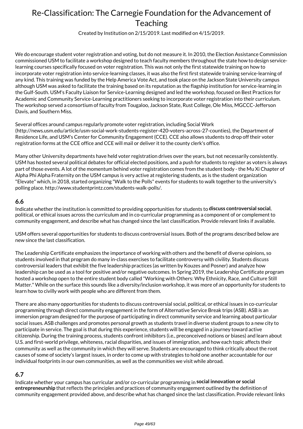Created by Institution on 2/15/2019. Last modified on 4/15/2019.

We do encourage student voter registration and voting, but do not measure it. In 2010, the Election Assistance Commission commissioned USM to facilitate a workshop designed to teach faculty members throughout the state how to design servicelearning courses specifically focused on voter registration. This was not only the first statewide training on how to incorporate voter registration into service-learning classes, it was also the first first statewide training service-learning of any kind. This training was funded by the Help America Vote Act, and took place on the Jackson State University campus although USM was asked to facilitate the training based on its reputation as the flagship institution for service-learning in the Gulf-South. USM's Faculty Liaison for Service-Learning designed and led the workshop, focused on Best Practices for Academic and Community Service-Learning practitioners seeking to incorporate voter registration into their curriculum. The workshop served a consortium of faculty from Tougaloo, Jackson State, Rust College, Ole Miss, MGCCC-Jefferson Davis, and Southern Miss.

#### Several offices around campus regularly promote voter registration, including Social Work

(http://news.usm.edu/article/usm-social-work-students-register-420-voters-across-27-counties), the Department of Residence Life, and USM's Center for Community Engagement (CCE). CCE also allows students to drop off their voter registration forms at the CCE office and CCE will mail or deliver it to the county clerk's office.

Many other University departments have held voter registration drives over the years, but not necessarily consistently. USM has hosted several political debates for official elected positions, and a push for students to register as voters is always part of those events. A lot of the momentum behind voter registration comes from the student body - the Mu Xi Chapter of Alpha Phi Alpha Fraternity on the USM campus is very active at registering students, as is the student organization "Elevate" which, in 2018, started organizing "Walk to the Polls" events for students to walk together to the university's polling place. http://www.studentprintz.com/students-walk-polls/.

#### **6.6**

Indicate whether the institution is committed to providing opportunities for students to **discuss controversial social**, political, or ethical issues across the curriculum and in co-curricular programming as a component of or complement to community engagement, and describe what has changed since the last classification. Provide relevant links if available.

USM offers several opportunities for students to discuss controversial issues. Both of the programs described below are new since the last classification.

The Leadership Certificate emphasizes the importance of working with others and the benefit of diverse opinions, so students involved in that program do many in-class exercises to facilitate controversy with civility. Students discuss controversial leaders that exhibit the five leadership practices (as written by Kouzes and Posner) and analyze how leadership can be used as a tool for positive and/or negative outcomes. In Spring 2019, the Leadership Certificate program hosted a workshop open to the entire student body called "Working with Others: Why Ethnicity, Race, and Culture Still Matter." While on the surface this sounds like a diversity/inclusion workshop, it was more of an opportunity for students to learn how to civilly work with people who are different from them.

There are also many opportunities for students to discuss controversial social, political, or ethical issues in co-curricular programming through direct community engagement in the form of Alternative Service Break trips (ASB). ASB is an immersion program designed for the purpose of participating in direct community service and learning about particular social issues. ASB challenges and promotes personal growth as students travel in diverse student groups to a new city to participate in service. The goal is that during this experience, students will be engaged in a journey toward active citizenship. During the training process, students confront inhibitors (i.e., preconceived notions or biases) and learn about U.S. and first-world privilege, whiteness, racial disparities, and issues of immigration, and how each topic affects their community as well as the community in which they will serve. Students are encouraged to think critically about the root causes of some of society's largest issues, in order to come up with strategies to hold one another accountable for our individual footprints in our own communities, as well as the communities we visit while abroad.

### **6.7**

Indicate whether your campus has curricular and/or co-curricular programming in **social innovation or social entrepreneurship** that reflects the principles and practices of community engagement outlined by the definition of community engagement provided above, and describe what has changed since the last classification. Provide relevant links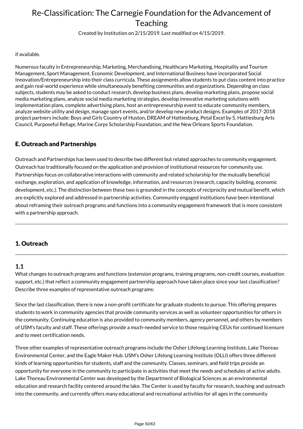Created by Institution on 2/15/2019. Last modified on 4/15/2019.

#### if available.

Numerous faculty in Entrepreneurship, Marketing, Merchandising, Healthcare Marketing, Hospitality and Tourism Management, Sport Management, Economic Development, and International Business have incorporated Social Innovation/Entrepreneurship into their class curricula. These assignments allow students to put class content into practice and gain real-world experience while simultaneously benefiting communities and organizations. Depending on class subjects, students may be asked to conduct research, develop business plans, develop marketing plans, propose social media marketing plans, analyze social media marketing strategies, develop innovative marketing solutions with implementation plans, complete advertising plans, host an entrepreneurship event to educate community members, analyze website utility and design, manage sport events, and/or develop new product designs. Examples of 2017-2018 project partners include: Boys and Girls Country of Huston, DREAM of Hattiesburg, Petal Excel by 5, Hattiesburg Arts Council, Purposeful Refuge, Marine Corps Scholarship Foundation, and the New Orleans Sports Foundation.

### E. Outreach and Partnerships

Outreach and Partnerships has been used to describe two different but related approaches to community engagement. Outreach has traditionally focused on the application and provision of institutional resources for community use. Partnerships focus on collaborative interactions with community and related scholarship for the mutually beneficial exchange, exploration, and application of knowledge, information, and resources (research, capacity building, economic development, etc.). The distinction between these two is grounded in the concepts of reciprocity and mutual benefit, which are explicitly explored and addressed in partnership activities. Community engaged institutions have been intentional about reframing their outreach programs and functions into a community engagement framework that is more consistent with a partnership approach.

### 1. Outreach

### **1.1**

What changes to outreach programs and functions (extension programs, training programs, non-credit courses, evaluation support, etc.) that reflect a community engagement partnership approach have taken place since your last classification? Describe three examples of representative outreach programs:

Since the last classification, there is now a non-profit certificate for graduate students to pursue. This offering prepares students to work in community agencies that provide community services as well as volunteer opportunities for others in the community. Continuing education is also provided to community members, agency personnel, and others by members of USM's faculty and staff. These offerings provide a much-needed service to those requiring CEUs for continued licensure and to meet certification needs.

Three other examples of representative outreach programs include the Osher Lifelong Learning Institute, Lake Thoreau Environmental Center, and the Eagle Maker Hub. USM's Osher Lifelong Learning Institute (OLLI) offers three different kinds of learning opportunities for students, staff and the community. Classes, seminars, and field trips provide an opportunity for everyone in the community to participate in activities that meet the needs and schedules of active adults. Lake Thoreau Environmental Center was developed by the Department of Biological Sciences as an environmental education and research facility centered around the lake. The Center is used by faculty for research, teaching and outreach into the community, and currently offers many educational and recreational activities for all ages in the community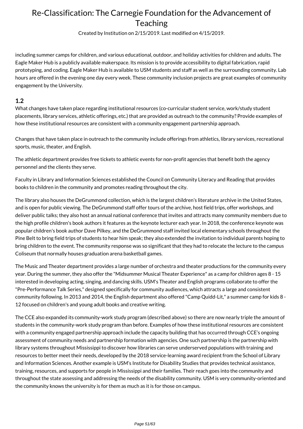Created by Institution on 2/15/2019. Last modified on 4/15/2019.

including summer camps for children, and various educational, outdoor, and holiday activities for children and adults. The Eagle Maker Hub is a publicly available makerspace. Its mission is to provide accessibility to digital fabrication, rapid prototyping, and coding. Eagle Maker Hub is available to USM students and staff as well as the surrounding community. Lab hours are offered in the evening one day every week. These community inclusion projects are great examples of community engagement by the University.

### **1.2**

What changes have taken place regarding institutional resources (co-curricular student service, work/study student placements, library services, athletic offerings, etc.) that are provided as outreach to the community? Provide examples of how these institutional resources are consistent with a community engagement partnership approach.

Changes that have taken place in outreach to the community include offerings from athletics, library services, recreational sports, music, theater, and English.

The athletic department provides free tickets to athletic events for non-profit agencies that benefit both the agency personnel and the clients they serve.

Faculty in Library and Information Sciences established the Council on Community Literacy and Reading that provides books to children in the community and promotes reading throughout the city.

The library also houses the DeGrummond collection, which is the largest children's literature archive in the United States, and is open for public viewing. The DeGrummond staff offer tours of the archive, host field trips, offer workshops, and deliver public talks; they also host an annual national conference that invites and attracts many community members due to the high profile children's book authors it features as the keynote lecturer each year. In 2018, the conference keynote was popular children's book author Dave Pilkey, and the DeGrummond staff invited local elementary schools throughout the Pine Belt to bring field trips of students to hear him speak; they also extended the invitation to individual parents hoping to bring children to the event. The community response was so significant that they had to relocate the lecture to the campus Coliseum that normally houses graduation arena basketball games.

The Music and Theater department provides a large number of orchestra and theater productions for the community every year. During the summer, they also offer the "Midsummer Musical Theater Experience" as a camp for children ages 8 - 15 interested in developing acting, singing, and dancing skills. USM's Theater and English programs collaborate to offer the "Pre-Performance Talk Series," designed specifically for community audiences, which attracts a large and consistent community following. In 2013 and 2014, the English department also offered "Camp Quidd-Lit," a summer camp for kids 8 - 12 focused on children's and young adult books and creative writing.

The CCE also expanded its community-work study program (described above) so there are now nearly triple the amount of students in the community-work study program than before. Examples of how these institutional resources are consistent with a community engaged partnership approach include the capacity building that has occurred through CCE's ongoing assessment of community needs and partnership formation with agencies. One such partnership is the partnership with library systems throughout Mississippi to discover how libraries can serve underserved populations with training and resources to better meet their needs, developed by the 2018 service-learning award recipient from the School of Library and Information Sciences. Another example is USM's Institute for Disability Studies that provides technical assistance, training, resources, and supports for people in Mississippi and their families. Their reach goes into the community and throughout the state assessing and addressing the needs of the disability community. USM is very community-oriented and the community knows the university is for them as much as it is for those on campus.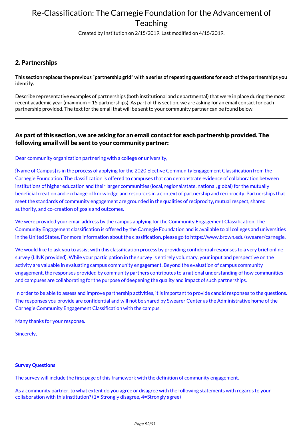Created by Institution on 2/15/2019. Last modified on 4/15/2019.

### 2. Partnerships

**This section replaces the previous "partnership grid" with a series of repeating questions for each of the partnerships you identify.**

Describe representative examples of partnerships (both institutional and departmental) that were in place during the most recent academic year (maximum = 15 partnerships). As part of this section, we are asking for an email contact for each partnership provided. The text for the email that will be sent to your community partner can be found below.

### As part of this section, we are asking for an email contact for each partnership provided. The following email will be sent to your community partner:

Dear community organization partnering with a college or university,

{Name of Campus} is in the process of applying for the 2020 Elective Community Engagement Classification from the Carnegie Foundation. The classification is offered to campuses that can demonstrate evidence of collaboration between institutions of higher education and their larger communities (local, regional/state, national, global) for the mutually beneficial creation and exchange of knowledge and resources in a context of partnership and reciprocity. Partnerships that meet the standards of community engagement are grounded in the qualities of reciprocity, mutual respect, shared authority, and co-creation of goals and outcomes.

We were provided your email address by the campus applying for the Community Engagement Classification. The Community Engagement classification is offered by the Carnegie Foundation and is available to all colleges and universities in the United States. For more information about the classification, please go to https://www.brown.edu/swearer/carnegie.

We would like to ask you to assist with this classification process by providing confidential responses to a very brief online survey (LINK provided). While your participation in the survey is entirely voluntary, your input and perspective on the activity are valuable in evaluating campus community engagement. Beyond the evaluation of campus community engagement, the responses provided by community partners contributes to a national understanding of how communities and campuses are collaborating for the purpose of deepening the quality and impact of such partnerships.

In order to be able to assess and improve partnership activities, it is important to provide candid responses to the questions. The responses you provide are confidential and will not be shared by Swearer Center as the Administrative home of the Carnegie Community Engagement Classification with the campus.

Many thanks for your response.

Sincerely,

#### **Survey Questions**

The survey will include the first page of this framework with the definition of community engagement.

As a community partner, to what extent do you agree or disagree with the following statements with regards to your collaboration with this institution? (1= Strongly disagree, 4=Strongly agree)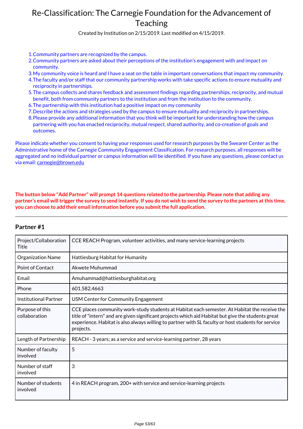Created by Institution on 2/15/2019. Last modified on 4/15/2019.

- 1.Community partners are recognized by the campus.
- 2.Community partners are asked about their perceptions of the institution's engagement with and impact on community.
- 3.My community voice is heard and I have a seat on the table in important conversations that impact my community.
- 4.The faculty and/or staff that our community partnership works with take specific actions to ensure mutuality and reciprocity in partnerships.
- 5.The campus collects and shares feedback and assessment findings regarding partnerships, reciprocity, and mutual benefit, both from community partners to the institution and from the institution to the community.
- 6.The partnership with this institution had a positive impact on my community
- 7.Describe the actions and strategies used by the campus to ensure mutuality and reciprocity in partnerships.
- 8.Please provide any additional information that you think will be important for understanding how the campus partnering with you has enacted reciprocity, mutual respect, shared authority, and co-creation of goals and outcomes.

Please indicate whether you consent to having your responses used for research purposes by the Swearer Center as the Administrative home of the Carnegie Community Engagement Classification. For research purposes, all responses will be aggregated and no individual partner or campus information will be identified. If you have any questions, please contact us via email: carnegie@brown.edu

**The button below "Add Partner" will prompt 14 questions related to the partnership. Please note that adding any partner's email will trigger the survey to send instantly. If you do not wish to send the survey to the partners at this time, you can choose to add their email information before you submit the full application.**

| Project/Collaboration<br>Title   | CCE REACH Program, volunteer activities, and many service-learning projects                                                                                                                                                                                                                                            |
|----------------------------------|------------------------------------------------------------------------------------------------------------------------------------------------------------------------------------------------------------------------------------------------------------------------------------------------------------------------|
| Organization Name                | Hattiesburg Habitat for Humanity                                                                                                                                                                                                                                                                                       |
| <b>Point of Contact</b>          | Akwete Muhummad                                                                                                                                                                                                                                                                                                        |
| Email                            | Amuhammad@hattiesburghabitat.org                                                                                                                                                                                                                                                                                       |
| Phone                            | 601.582.4663                                                                                                                                                                                                                                                                                                           |
| <b>Institutional Partner</b>     | USM Center for Community Engagement                                                                                                                                                                                                                                                                                    |
| Purpose of this<br>collaboration | CCE places community work-study students at Habitat each semester. At Habitat the receive the<br>title of "intern" and are given significant projects which aid Habitat but give the students great<br>experience. Habitat is also always willing to partner with SL faculty or host students for service<br>projects. |
| Length of Partnership            | REACH - 3 years; as a service and service-learning partner, 28 years                                                                                                                                                                                                                                                   |
| Number of faculty<br>involved    | 5                                                                                                                                                                                                                                                                                                                      |
| Number of staff<br>involved      | 3                                                                                                                                                                                                                                                                                                                      |
| Number of students<br>involved   | 4 in REACH program, 200+ with service and service-learning projects                                                                                                                                                                                                                                                    |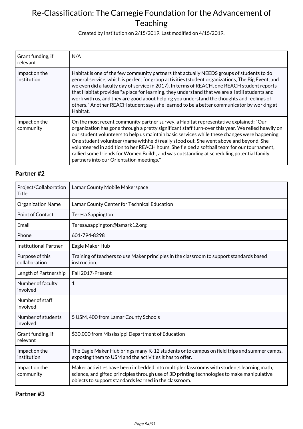Created by Institution on 2/15/2019. Last modified on 4/15/2019.

| Grant funding, if<br>relevant | N/A                                                                                                                                                                                                                                                                                                                                                                                                                                                                                                                                                                                                                            |
|-------------------------------|--------------------------------------------------------------------------------------------------------------------------------------------------------------------------------------------------------------------------------------------------------------------------------------------------------------------------------------------------------------------------------------------------------------------------------------------------------------------------------------------------------------------------------------------------------------------------------------------------------------------------------|
| Impact on the<br>institution  | Habitat is one of the few community partners that actually NEEDS groups of students to do<br>general service, which is perfect for group activities (student organizations, The Big Event, and<br>we even did a faculty day of service in 2017). In terms of REACH, one REACH student reports<br>that Habitat provides "a place for learning, they understand that we are all still students and<br>work with us, and they are good about helping you understand the thoughts and feelings of<br>others." Another REACH student says she learned to be a better communicator by working at<br>Habitat.                         |
| Impact on the<br>community    | On the most recent community partner survey, a Habitat representative explained: "Our<br>organization has gone through a pretty significant staff turn-over this year. We relied heavily on<br>our student volunteers to help us maintain basic services while these changes were happening.<br>One student volunteer (name withheld) really stood out. She went above and beyond. She<br>volunteered in addition to her REACH hours. She fielded a softball team for our tournament,<br>rallied some friends for Women Build!, and was outstanding at scheduling potential family<br>partners into our Orientation meetings." |

### **Partner #2**

| Project/Collaboration<br>Title   | Lamar County Mobile Makerspace                                                                                                                                                                                                                     |
|----------------------------------|----------------------------------------------------------------------------------------------------------------------------------------------------------------------------------------------------------------------------------------------------|
| <b>Organization Name</b>         | Lamar County Center for Technical Education                                                                                                                                                                                                        |
| Point of Contact                 | Teresa Sappington                                                                                                                                                                                                                                  |
| Email                            | Teresa.sappington@lamark12.org                                                                                                                                                                                                                     |
| Phone                            | 601-794-8298                                                                                                                                                                                                                                       |
| <b>Institutional Partner</b>     | Eagle Maker Hub                                                                                                                                                                                                                                    |
| Purpose of this<br>collaboration | Training of teachers to use Maker principles in the classroom to support standards based<br>instruction.                                                                                                                                           |
| Length of Partnership            | Fall 2017-Present                                                                                                                                                                                                                                  |
| Number of faculty<br>involved    | 1                                                                                                                                                                                                                                                  |
| Number of staff<br>involved      |                                                                                                                                                                                                                                                    |
| Number of students<br>involved   | 5 USM, 400 from Lamar County Schools                                                                                                                                                                                                               |
| Grant funding, if<br>relevant    | \$30,000 from Mississippi Department of Education                                                                                                                                                                                                  |
| Impact on the<br>institution     | The Eagle Maker Hub brings many K-12 students onto campus on field trips and summer camps,<br>exposing them to USM and the activities it has to offer.                                                                                             |
| Impact on the<br>community       | Maker activities have been imbedded into multiple classrooms with students learning math,<br>science, and gifted principles through use of 3D printing technologies to make manipulative<br>objects to support standards learned in the classroom. |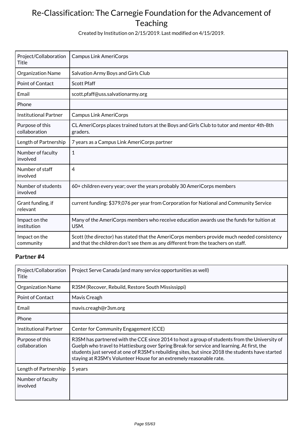Created by Institution on 2/15/2019. Last modified on 4/15/2019.

| Project/Collaboration<br>Title   | <b>Campus Link AmeriCorps</b>                                                                                                                                                    |
|----------------------------------|----------------------------------------------------------------------------------------------------------------------------------------------------------------------------------|
| Organization Name                | Salvation Army Boys and Girls Club                                                                                                                                               |
| <b>Point of Contact</b>          | <b>Scott Pfaff</b>                                                                                                                                                               |
| Email                            | scott.pfaff@uss.salvationarmy.org                                                                                                                                                |
| Phone                            |                                                                                                                                                                                  |
| <b>Institutional Partner</b>     | <b>Campus Link AmeriCorps</b>                                                                                                                                                    |
| Purpose of this<br>collaboration | CL AmeriCorps places trained tutors at the Boys and Girls Club to tutor and mentor 4th-8th<br>graders.                                                                           |
| Length of Partnership            | 7 years as a Campus Link AmeriCorps partner                                                                                                                                      |
| Number of faculty<br>involved    | $\mathbf{1}$                                                                                                                                                                     |
| Number of staff<br>involved      | 4                                                                                                                                                                                |
| Number of students<br>involved   | 60+ children every year; over the years probably 30 AmeriCorps members                                                                                                           |
| Grant funding, if<br>relevant    | current funding: \$379,076 per year from Corporation for National and Community Service                                                                                          |
| Impact on the<br>institution     | Many of the AmeriCorps members who receive education awards use the funds for tuition at<br>USM.                                                                                 |
| Impact on the<br>community       | Scott (the director) has stated that the AmeriCorps members provide much needed consistency<br>and that the children don't see them as any different from the teachers on staff. |

| Project/Collaboration<br>Title   | Project Serve Canada (and many service opportunities as well)                                                                                                                                                                                                                                                                                                          |
|----------------------------------|------------------------------------------------------------------------------------------------------------------------------------------------------------------------------------------------------------------------------------------------------------------------------------------------------------------------------------------------------------------------|
| <b>Organization Name</b>         | R3SM (Recover, Rebuild, Restore South Mississippi)                                                                                                                                                                                                                                                                                                                     |
| Point of Contact                 | Mavis Creagh                                                                                                                                                                                                                                                                                                                                                           |
| Email                            | mavis.creagh@r3sm.org                                                                                                                                                                                                                                                                                                                                                  |
| Phone                            |                                                                                                                                                                                                                                                                                                                                                                        |
| <b>Institutional Partner</b>     | Center for Community Engagement (CCE)                                                                                                                                                                                                                                                                                                                                  |
| Purpose of this<br>collaboration | R3SM has partnered with the CCE since 2014 to host a group of students from the University of<br>Guelph who travel to Hattiesburg over Spring Break for service and learning. At first, the<br>students just served at one of R3SM's rebuilding sites, but since 2018 the students have started<br>staying at R3SM's Volunteer House for an extremely reasonable rate. |
| Length of Partnership            | 5 years                                                                                                                                                                                                                                                                                                                                                                |
| Number of faculty<br>involved    |                                                                                                                                                                                                                                                                                                                                                                        |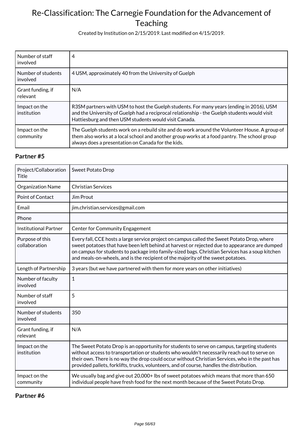Created by Institution on 2/15/2019. Last modified on 4/15/2019.

| Number of staff<br>involved    | 4                                                                                                                                                                                                                                                   |
|--------------------------------|-----------------------------------------------------------------------------------------------------------------------------------------------------------------------------------------------------------------------------------------------------|
| Number of students<br>involved | 4 USM, approximately 40 from the University of Guelph                                                                                                                                                                                               |
| Grant funding, if<br>relevant  | N/A                                                                                                                                                                                                                                                 |
| Impact on the<br>institution   | R3SM partners with USM to host the Guelph students. For many years (ending in 2016), USM<br>and the University of Guelph had a reciprocal relationship - the Guelph students would visit<br>Hattiesburg and then USM students would visit Canada.   |
| Impact on the<br>community     | The Guelph students work on a rebuild site and do work around the Volunteer House. A group of<br>them also works at a local school and another group works at a food pantry. The school group<br>always does a presentation on Canada for the kids. |

#### **Partner #5**

| Project/Collaboration<br><b>Title</b> | <b>Sweet Potato Drop</b>                                                                                                                                                                                                                                                                                                                                                                   |
|---------------------------------------|--------------------------------------------------------------------------------------------------------------------------------------------------------------------------------------------------------------------------------------------------------------------------------------------------------------------------------------------------------------------------------------------|
| <b>Organization Name</b>              | <b>Christian Services</b>                                                                                                                                                                                                                                                                                                                                                                  |
| Point of Contact                      | Jim Prout                                                                                                                                                                                                                                                                                                                                                                                  |
| Email                                 | jim.christian.services@gmail.com                                                                                                                                                                                                                                                                                                                                                           |
| Phone                                 |                                                                                                                                                                                                                                                                                                                                                                                            |
| <b>Institutional Partner</b>          | <b>Center for Community Engagement</b>                                                                                                                                                                                                                                                                                                                                                     |
| Purpose of this<br>collaboration      | Every fall, CCE hosts a large service project on campus called the Sweet Potato Drop, where<br>sweet potatoes that have been left behind at harvest or rejected due to appearance are dumped<br>on campus for students to package into family-sized bags. Christian Services has a soup kitchen<br>and meals-on-wheels, and is the recipient of the majority of the sweet potatoes.        |
| Length of Partnership                 | 3 years (but we have partnered with them for more years on other initiatives)                                                                                                                                                                                                                                                                                                              |
| Number of faculty<br>involved         | $\mathbf{1}$                                                                                                                                                                                                                                                                                                                                                                               |
| Number of staff<br>involved           | 5                                                                                                                                                                                                                                                                                                                                                                                          |
| Number of students<br>involved        | 350                                                                                                                                                                                                                                                                                                                                                                                        |
| Grant funding, if<br>relevant         | N/A                                                                                                                                                                                                                                                                                                                                                                                        |
| Impact on the<br>institution          | The Sweet Potato Drop is an opportunity for students to serve on campus, targeting students<br>without access to transportation or students who wouldn't necessarily reach out to serve on<br>their own. There is no way the drop could occur without Christian Services, who in the past has<br>provided pallets, forklifts, trucks, volunteers, and of course, handles the distribution. |
| Impact on the<br>community            | We usually bag and give out 20,000+ lbs of sweet potatoes which means that more than 650<br>individual people have fresh food for the next month because of the Sweet Potato Drop.                                                                                                                                                                                                         |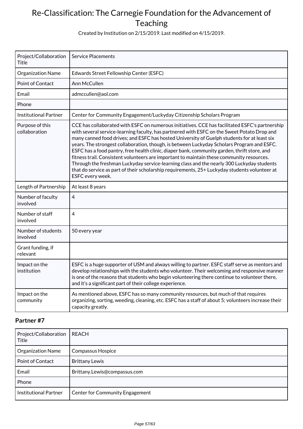Created by Institution on 2/15/2019. Last modified on 4/15/2019.

| Project/Collaboration<br>Title   | <b>Service Placements</b>                                                                                                                                                                                                                                                                                                                                                                                                                                                                                                                                                                                                                                                                                                                                                                                 |
|----------------------------------|-----------------------------------------------------------------------------------------------------------------------------------------------------------------------------------------------------------------------------------------------------------------------------------------------------------------------------------------------------------------------------------------------------------------------------------------------------------------------------------------------------------------------------------------------------------------------------------------------------------------------------------------------------------------------------------------------------------------------------------------------------------------------------------------------------------|
| Organization Name                | Edwards Street Fellowship Center (ESFC)                                                                                                                                                                                                                                                                                                                                                                                                                                                                                                                                                                                                                                                                                                                                                                   |
| <b>Point of Contact</b>          | Ann McCullen                                                                                                                                                                                                                                                                                                                                                                                                                                                                                                                                                                                                                                                                                                                                                                                              |
| Email                            | admccullen@aol.com                                                                                                                                                                                                                                                                                                                                                                                                                                                                                                                                                                                                                                                                                                                                                                                        |
| Phone                            |                                                                                                                                                                                                                                                                                                                                                                                                                                                                                                                                                                                                                                                                                                                                                                                                           |
| <b>Institutional Partner</b>     | Center for Community Engagement/Luckyday Citizenship Scholars Program                                                                                                                                                                                                                                                                                                                                                                                                                                                                                                                                                                                                                                                                                                                                     |
| Purpose of this<br>collaboration | CCE has collaborated with ESFC on numerous initiatives. CCE has facilitated ESFC's partnership<br>with several service-learning faculty, has partnered with ESFC on the Sweet Potato Drop and<br>many canned food drives; and ESFC has hosted University of Guelph students for at least six<br>years. The strongest collaboration, though, is between Luckyday Scholars Program and ESFC.<br>ESFC has a food pantry, free health clinic, diaper bank, community garden, thrift store, and<br>fitness trail. Consistent volunteers are important to maintain these community resources.<br>Through the freshman Luckyday service-learning class and the nearly 300 Luckyday students<br>that do service as part of their scholarship requirements, 25+ Luckyday students volunteer at<br>ESFC every week. |
| Length of Partnership            | At least 8 years                                                                                                                                                                                                                                                                                                                                                                                                                                                                                                                                                                                                                                                                                                                                                                                          |
| Number of faculty<br>involved    | 4                                                                                                                                                                                                                                                                                                                                                                                                                                                                                                                                                                                                                                                                                                                                                                                                         |
| Number of staff<br>involved      | $\overline{4}$                                                                                                                                                                                                                                                                                                                                                                                                                                                                                                                                                                                                                                                                                                                                                                                            |
| Number of students<br>involved   | 50 every year                                                                                                                                                                                                                                                                                                                                                                                                                                                                                                                                                                                                                                                                                                                                                                                             |
| Grant funding, if<br>relevant    |                                                                                                                                                                                                                                                                                                                                                                                                                                                                                                                                                                                                                                                                                                                                                                                                           |
| Impact on the<br>institution     | ESFC is a huge supporter of USM and always willing to partner. ESFC staff serve as mentors and<br>develop relationships with the students who volunteer. Their welcoming and responsive manner<br>is one of the reasons that students who begin volunteering there continue to volunteer there,<br>and it's a significant part of their college experience.                                                                                                                                                                                                                                                                                                                                                                                                                                               |
| Impact on the<br>community       | As mentioned above, ESFC has so many community resources, but much of that requires<br>organizing, sorting, weeding, cleaning, etc. ESFC has a staff of about 5; volunteers increase their<br>capacity greatly.                                                                                                                                                                                                                                                                                                                                                                                                                                                                                                                                                                                           |

| Project/Collaboration<br>Title | REACH                           |
|--------------------------------|---------------------------------|
| <b>Organization Name</b>       | <b>Compassus Hospice</b>        |
| <b>Point of Contact</b>        | <b>Brittany Lewis</b>           |
| Email                          | Brittany.Lewis@compassus.com    |
| Phone                          |                                 |
| <b>Institutional Partner</b>   | Center for Community Engagement |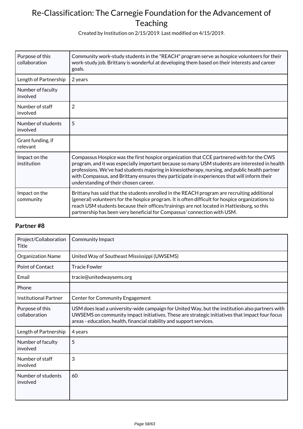Created by Institution on 2/15/2019. Last modified on 4/15/2019.

| Purpose of this<br>collaboration | Community work-study students in the "REACH" program serve as hospice volunteers for their<br>work-study job. Brittany is wonderful at developing them based on their interests and career<br>goals.                                                                                                                                                                                                                                 |
|----------------------------------|--------------------------------------------------------------------------------------------------------------------------------------------------------------------------------------------------------------------------------------------------------------------------------------------------------------------------------------------------------------------------------------------------------------------------------------|
| Length of Partnership            | 2 years                                                                                                                                                                                                                                                                                                                                                                                                                              |
| Number of faculty<br>involved    |                                                                                                                                                                                                                                                                                                                                                                                                                                      |
| Number of staff<br>involved      | $\overline{2}$                                                                                                                                                                                                                                                                                                                                                                                                                       |
| Number of students<br>involved   | 5                                                                                                                                                                                                                                                                                                                                                                                                                                    |
| Grant funding, if<br>relevant    |                                                                                                                                                                                                                                                                                                                                                                                                                                      |
| Impact on the<br>institution     | Compassus Hospice was the first hospice organization that CCE partnered with for the CWS<br>program, and it was especially important because so many USM students are interested in health<br>professions. We've had students majoring in kinesiotherapy, nursing, and public health partner<br>with Compassus, and Brittany ensures they participate in experiences that will inform their<br>understanding of their chosen career. |
| Impact on the<br>community       | Brittany has said that the students enrolled in the REACH program are recruiting additional<br>(general) volunteers for the hospice program. It is often difficult for hospice organizations to<br>reach USM students because their offices/trainings are not located in Hattiesburg, so this<br>partnership has been very beneficial for Compassus' connection with USM.                                                            |

| Project/Collaboration<br>Title   | Community Impact                                                                                                                                                                                                                                                          |
|----------------------------------|---------------------------------------------------------------------------------------------------------------------------------------------------------------------------------------------------------------------------------------------------------------------------|
| <b>Organization Name</b>         | United Way of Southeast Mississippi (UWSEMS)                                                                                                                                                                                                                              |
| Point of Contact                 | <b>Tracie Fowler</b>                                                                                                                                                                                                                                                      |
| Email                            | tracie@unitedwaysems.org                                                                                                                                                                                                                                                  |
| Phone                            |                                                                                                                                                                                                                                                                           |
| <b>Institutional Partner</b>     | <b>Center for Community Engagement</b>                                                                                                                                                                                                                                    |
| Purpose of this<br>collaboration | USM does lead a university-wide campaign for United Way, but the institution also partners with<br>UWSEMS on community impact initiatives. These are strategic initiatives that impact four focus<br>areas - education, health, financial stability and support services. |
| Length of Partnership            | 4 years                                                                                                                                                                                                                                                                   |
| Number of faculty<br>involved    | 5                                                                                                                                                                                                                                                                         |
| Number of staff<br>involved      | 3                                                                                                                                                                                                                                                                         |
| Number of students<br>involved   | 60                                                                                                                                                                                                                                                                        |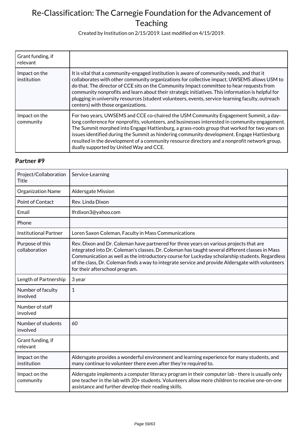Created by Institution on 2/15/2019. Last modified on 4/15/2019.

| Grant funding, if<br>relevant |                                                                                                                                                                                                                                                                                                                                                                                                                                                                                                                                      |
|-------------------------------|--------------------------------------------------------------------------------------------------------------------------------------------------------------------------------------------------------------------------------------------------------------------------------------------------------------------------------------------------------------------------------------------------------------------------------------------------------------------------------------------------------------------------------------|
| Impact on the<br>institution  | It is vital that a community-engaged institution is aware of community needs, and that it<br>collaborates with other community organizations for collective impact. UWSEMS allows USM to<br>do that. The director of CCE sits on the Community Impact committee to hear requests from<br>community nonprofits and learn about their strategic initiatives. This information is helpful for<br>plugging in university resources (student volunteers, events, service-learning faculty, outreach<br>centers) with those organizations. |
| Impact on the<br>community    | For two years, UWSEMS and CCE co-chaired the USM Community Engagement Summit, a day-<br>long conference for nonprofits, volunteers, and businesses interested in community engagement.<br>The Summit morphed into Engage Hattiesburg, a grass-roots group that worked for two years on<br>issues identified during the Summit as hindering community development. Engage Hattiesburg<br>resulted in the development of a community resource directory and a nonprofit network group,<br>dually supported by United Way and CCE.      |

| Project/Collaboration<br>Title   | Service-Learning                                                                                                                                                                                                                                                                                                                                                                                                                   |
|----------------------------------|------------------------------------------------------------------------------------------------------------------------------------------------------------------------------------------------------------------------------------------------------------------------------------------------------------------------------------------------------------------------------------------------------------------------------------|
| Organization Name                | Aldersgate Mission                                                                                                                                                                                                                                                                                                                                                                                                                 |
| <b>Point of Contact</b>          | Rev. Linda Dixon                                                                                                                                                                                                                                                                                                                                                                                                                   |
| Email                            | lfrdixon3@yahoo.com                                                                                                                                                                                                                                                                                                                                                                                                                |
| Phone                            |                                                                                                                                                                                                                                                                                                                                                                                                                                    |
| <b>Institutional Partner</b>     | Loren Saxon Coleman, Faculty in Mass Communications                                                                                                                                                                                                                                                                                                                                                                                |
| Purpose of this<br>collaboration | Rev. Dixon and Dr. Coleman have partnered for three years on various projects that are<br>integrated into Dr. Coleman's classes. Dr. Coleman has taught several different classes in Mass<br>Communication as well as the introductory course for Luckyday scholarship students. Regardless<br>of the class, Dr. Coleman finds a way to integrate service and provide Aldersgate with volunteers<br>for their afterschool program. |
| Length of Partnership            | 3 year                                                                                                                                                                                                                                                                                                                                                                                                                             |
| Number of faculty<br>involved    | $\mathbf{1}$                                                                                                                                                                                                                                                                                                                                                                                                                       |
| Number of staff<br>involved      |                                                                                                                                                                                                                                                                                                                                                                                                                                    |
| Number of students<br>involved   | 60                                                                                                                                                                                                                                                                                                                                                                                                                                 |
| Grant funding, if<br>relevant    |                                                                                                                                                                                                                                                                                                                                                                                                                                    |
| Impact on the<br>institution     | Aldersgate provides a wonderful environment and learning experience for many students, and<br>many continue to volunteer there even after they're required to.                                                                                                                                                                                                                                                                     |
| Impact on the<br>community       | Aldersgate implements a computer literacy program in their computer lab - there is usually only<br>one teacher in the lab with 20+ students. Volunteers allow more children to receive one-on-one<br>assistance and further develop their reading skills.                                                                                                                                                                          |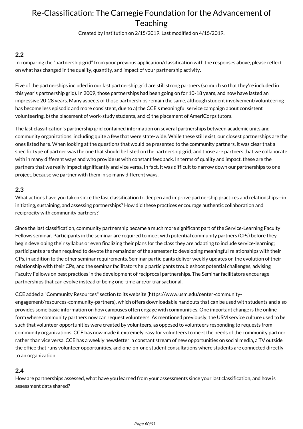Created by Institution on 2/15/2019. Last modified on 4/15/2019.

### **2.2**

In comparing the "partnership grid" from your previous application/classification with the responses above, please reflect on what has changed in the quality, quantity, and impact of your partnership activity.

Five of the partnerships included in our last partnership grid are still strong partners (so much so that they're included in this year's partnership grid). In 2009, those partnerships had been going on for 10-18 years, and now have lasted an impressive 20-28 years. Many aspects of those partnerships remain the same, although student involvement/volunteering has become less episodic and more consistent, due to a) the CCE's meaningful service campaign about consistent volunteering, b) the placement of work-study students, and c) the placement of AmeriCorps tutors.

The last classification's partnership grid contained information on several partnerships between academic units and community organizations, including quite a few that were state-wide. While these still exist, our closest partnerships are the ones listed here. When looking at the questions that would be presented to the community partners, it was clear that a specific type of partner was the one that should be listed on the partnership grid, and those are partners that we collaborate with in many different ways and who provide us with constant feedback. In terms of quality and impact, these are the partners that we really impact significantly and vice versa. In fact, it was difficult to narrow down our partnerships to one project, because we partner with them in so many different ways.

#### **2.3**

What actions have you taken since the last classification to deepen and improve partnership practices and relationships—in initiating, sustaining, and assessing partnerships? How did these practices encourage authentic collaboration and reciprocity with community partners?

Since the last classification, community partnership became a much more significant part of the Service-Learning Faculty Fellows seminar. Participants in the seminar are required to meet with potential community partners (CPs) before they begin developing their syllabus or even finalizing their plans for the class they are adapting to include service-learning; participants are then required to devote the remainder of the semester to developing meaningful relationships with their CPs, in addition to the other seminar requirements. Seminar participants deliver weekly updates on the evolution of their relationship with their CPs, and the seminar facilitators help participants troubleshoot potential challenges, advising Faculty Fellows on best practices in the development of reciprocal partnerships. The Seminar facilitators encourage partnerships that can evolve instead of being one-time and/or transactional.

CCE added a "Community Resources" section to its website (https://www.usm.edu/center-communityengagement/resources-community-partners), which offers downloadable handouts that can be used with students and also provides some basic information on how campuses often engage with communities. One important change is the online form where community partners now can request volunteers. As mentioned previously, the USM service culture used to be such that volunteer opportunities were created by volunteers, as opposed to volunteers responding to requests from community organizations. CCE has now made it extremely easy for volunteers to meet the needs of the community partner rather than vice versa. CCE has a weekly newsletter, a constant stream of new opportunities on social media, a TV outside the office that runs volunteer opportunities, and one-on-one student consultations where students are connected directly to an organization.

### **2.4**

How are partnerships assessed, what have you learned from your assessments since your last classification, and how is assessment data shared?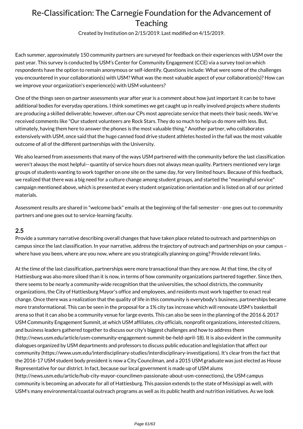Created by Institution on 2/15/2019. Last modified on 4/15/2019.

Each summer, approximately 150 community partners are surveyed for feedback on their experiences with USM over the past year. This survey is conducted by USM's Center for Community Engagement (CCE) via a survey tool on which respondents have the option to remain anonymous or self-identify. Questions include: What were some of the challenges you encountered in your collaboration(s) with USM? What was the most valuable aspect of your collaboration(s)? How can we improve your organization's experience(s) with USM volunteers?

One of the things seen on partner assessments year after year is a comment about how just important it can be to have additional bodies for everyday operations. I think sometimes we get caught up in really involved projects where students are producing a skilled deliverable; however, often our CPs most appreciate service that meets their basic needs. We've received comments like "Our student volunteers are Rock Stars. They do so much to help us do more with less. But, ultimately, having them here to answer the phones is the most valuable thing." Another partner, who collaborates extensively with USM, once said that the huge canned food drive student athletes hosted in the fall was the most valuable outcome of all of the different partnerships with the University.

We also learned from assessments that many of the ways USM partnered with the community before the last classification weren't always the most helpful-- quantity of service hours does not always mean quality. Partners mentioned very large groups of students wanting to work together on one site on the same day, for very limited hours. Because of this feedback, we realized that there was a big need for a culture change among student groups, and started the "meaningful service" campaign mentioned above, which is presented at every student organization orientation and is listed on all of our printed materials.

Assessment results are shared in "welcome back" emails at the beginning of the fall semester - one goes out to community partners and one goes out to service-learning faculty.

#### **2.5**

Provide a summary narrative describing overall changes that have taken place related to outreach and partnerships on campus since the last classification. In your narrative, address the trajectory of outreach and partnerships on your campus – where have you been, where are you now, where are you strategically planning on going? Provide relevant links.

At the time of the last classification, partnerships were more transactional than they are now. At that time, the city of Hattiesburg was also more siloed than it is now, in terms of how community organizations partnered together. Since then, there seems to be nearly a community-wide recognition that the universities, the school districts, the community organizations, the City of Hattiesburg Mayor's office and employees, and residents must work together to enact real change. Once there was a realization that the quality of life in this community is everybody's business, partnerships became more transformational. This can be seen in the proposal for a 1% city tax increase which will renovate USM's basketball arena so that it can also be a community venue for large events. This can also be seen in the planning of the 2016 & 2017 USM Community Engagement Summit, at which USM affiliates, city officials, nonprofit organizations, interested citizens, and business leaders gathered together to discuss our city's biggest challenges and how to address them (http://news.usm.edu/article/usm-community-engagement-summit-be-held-april-18). It is also evident in the community dialogues organized by USM departments and professors to discuss public education and legislation that affect our community (https://www.usm.edu/interdisciplinary-studies/interdisciplinary-investigations). It's clear from the fact that the 2016-17 USM student body president is now a City Councilman, and a 2015 USM graduate was just elected as House Representative for our district. In fact, because our local government is made up of USM alums (http://news.usm.edu/article/hub-city-mayor-councilmen-passionate-about-usm-connections), the USM campus community is becoming an advocate for all of Hattiesburg. This passion extends to the state of Missisippi as well, with USM's many environmental/coastal outreach programs as well as its public health and nutrition initiatives. As we look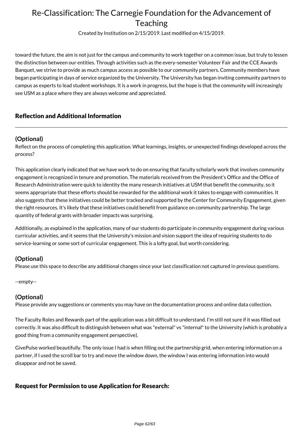Created by Institution on 2/15/2019. Last modified on 4/15/2019.

toward the future, the aim is not just for the campus and community to work together on a common issue, but truly to lessen the distinction between our entities. Through activities such as the every-semester Volunteer Fair and the CCE Awards Banquet, we strive to provide as much campus access as possible to our community partners. Community members have began participating in days of service organized by the University. The University has began inviting community partners to campus as experts to lead student workshops. It is a work in progress, but the hope is that the community will increasingly see USM as a place where they are always welcome and appreciated.

### Reflection and Additional Information

### **(Optional)**

Reflect on the process of completing this application. What learnings, insights, or unexpected findings developed across the process?

This application clearly indicated that we have work to do on ensuring that faculty scholarly work that involves community engagement is recognized in tenure and promotion. The materials received from the President's Office and the Office of Research Administration were quick to identity the many research initiatives at USM that benefit the community, so it seems appropriate that these efforts should be rewarded for the additional work it takes to engage with communities. It also suggests that these initiatives could be better tracked and supported by the Center for Community Engagement, given the right resources. It's likely that these initiatives could benefit from guidance on community partnership. The large quantity of federal grants with broader impacts was surprising.

Additionally, as explained in the application, many of our students do participate in community engagement during various curricular activities, and it seems that the University's mission and vision support the idea of requiring students to do service-learning or some sort of curricular engagement. This is a lofty goal, but worth considering.

#### **(Optional)**

Please use this space to describe any additional changes since your last classification not captured in previous questions.

--empty--

#### **(Optional)**

Please provide any suggestions or comments you may have on the documentation process and online data collection.

The Faculty Roles and Rewards part of the application was a bit difficult to understand. I'm still not sure if it was filled out correctly. It was also difficult to distinguish between what was "external" vs "internal" to the University (which is probably a good thing from a community engagement perspective).

GivePulse worked beautifully. The only issue I had is when filling out the partnership grid, when entering information on a partner, if I used the scroll bar to try and move the window down, the window I was entering information into would disappear and not be saved.

### Request for Permission to use Application for Research: